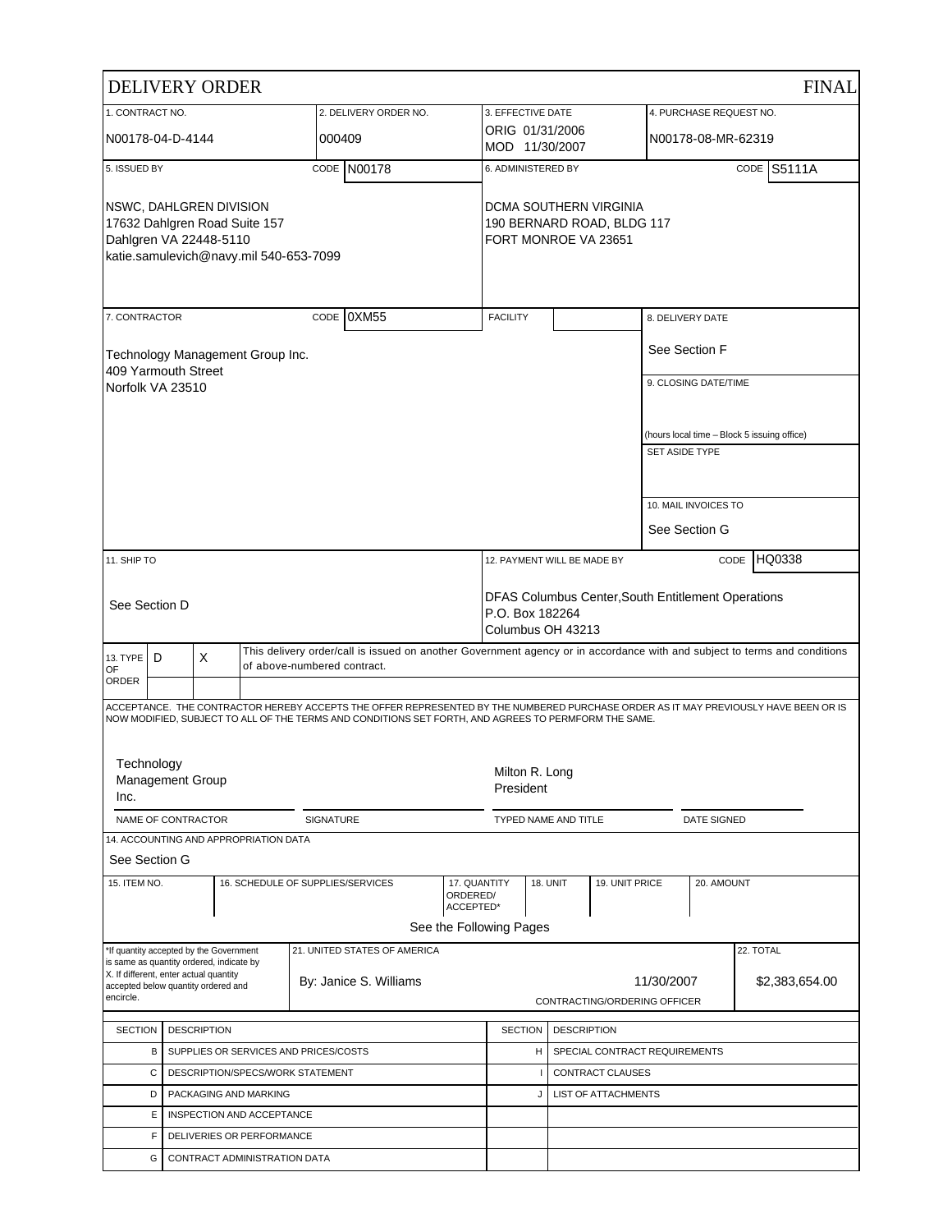|                                                                                                                              |                         | <b>DELIVERY ORDER</b> |                                       |                                                                                            |                                                                                                                                                                                                                                             |                                       |                                   |                                                      |                      |                               |                       |                                             |           | <b>FINAL</b>   |
|------------------------------------------------------------------------------------------------------------------------------|-------------------------|-----------------------|---------------------------------------|--------------------------------------------------------------------------------------------|---------------------------------------------------------------------------------------------------------------------------------------------------------------------------------------------------------------------------------------------|---------------------------------------|-----------------------------------|------------------------------------------------------|----------------------|-------------------------------|-----------------------|---------------------------------------------|-----------|----------------|
| 1. CONTRACT NO.                                                                                                              |                         |                       |                                       |                                                                                            | 2. DELIVERY ORDER NO.                                                                                                                                                                                                                       |                                       | 3. EFFECTIVE DATE                 |                                                      |                      |                               |                       | 4. PURCHASE REQUEST NO.                     |           |                |
| N00178-04-D-4144                                                                                                             |                         |                       |                                       | 000409                                                                                     |                                                                                                                                                                                                                                             |                                       | ORIG 01/31/2006<br>MOD 11/30/2007 |                                                      |                      |                               |                       | N00178-08-MR-62319                          |           |                |
| 5. ISSUED BY                                                                                                                 |                         |                       |                                       |                                                                                            | CODE N00178                                                                                                                                                                                                                                 |                                       | 6. ADMINISTERED BY                |                                                      |                      |                               |                       |                                             |           | CODE S5111A    |
| NSWC, DAHLGREN DIVISION<br>17632 Dahlgren Road Suite 157<br>Dahlgren VA 22448-5110<br>katie.samulevich@navy.mil 540-653-7099 |                         |                       |                                       |                                                                                            | FORT MONROE VA 23651                                                                                                                                                                                                                        |                                       |                                   | DCMA SOUTHERN VIRGINIA<br>190 BERNARD ROAD, BLDG 117 |                      |                               |                       |                                             |           |                |
| 7. CONTRACTOR                                                                                                                |                         |                       |                                       |                                                                                            | CODE 0XM55                                                                                                                                                                                                                                  |                                       | <b>FACILITY</b>                   |                                                      |                      |                               |                       | 8. DELIVERY DATE                            |           |                |
| 409 Yarmouth Street                                                                                                          |                         |                       | Technology Management Group Inc.      |                                                                                            |                                                                                                                                                                                                                                             |                                       |                                   |                                                      |                      |                               |                       | See Section F                               |           |                |
| Norfolk VA 23510                                                                                                             |                         |                       |                                       |                                                                                            |                                                                                                                                                                                                                                             |                                       |                                   |                                                      |                      |                               |                       | 9. CLOSING DATE/TIME                        |           |                |
|                                                                                                                              |                         |                       |                                       |                                                                                            |                                                                                                                                                                                                                                             |                                       |                                   |                                                      |                      |                               | <b>SET ASIDE TYPE</b> | (hours local time - Block 5 issuing office) |           |                |
|                                                                                                                              |                         |                       |                                       |                                                                                            |                                                                                                                                                                                                                                             |                                       |                                   |                                                      |                      |                               |                       |                                             |           |                |
|                                                                                                                              |                         |                       |                                       |                                                                                            |                                                                                                                                                                                                                                             |                                       |                                   |                                                      |                      |                               |                       | 10. MAIL INVOICES TO                        |           |                |
|                                                                                                                              |                         |                       |                                       |                                                                                            |                                                                                                                                                                                                                                             |                                       |                                   |                                                      |                      |                               |                       | See Section G                               |           |                |
| 11. SHIP TO                                                                                                                  |                         |                       |                                       |                                                                                            |                                                                                                                                                                                                                                             |                                       | 12. PAYMENT WILL BE MADE BY       |                                                      |                      |                               |                       | CODE                                        | HQ0338    |                |
| See Section D                                                                                                                |                         |                       |                                       | DFAS Columbus Center, South Entitlement Operations<br>P.O. Box 182264<br>Columbus OH 43213 |                                                                                                                                                                                                                                             |                                       |                                   |                                                      |                      |                               |                       |                                             |           |                |
| 13. TYPE                                                                                                                     | D                       | X                     |                                       | of above-numbered contract.                                                                | This delivery order/call is issued on another Government agency or in accordance with and subject to terms and conditions                                                                                                                   |                                       |                                   |                                                      |                      |                               |                       |                                             |           |                |
| OF<br>ORDER                                                                                                                  |                         |                       |                                       |                                                                                            |                                                                                                                                                                                                                                             |                                       |                                   |                                                      |                      |                               |                       |                                             |           |                |
|                                                                                                                              |                         |                       |                                       |                                                                                            | ACCEPTANCE. THE CONTRACTOR HEREBY ACCEPTS THE OFFER REPRESENTED BY THE NUMBERED PURCHASE ORDER AS IT MAY PREVIOUSLY HAVE BEEN OR IS<br>NOW MODIFIED, SUBJECT TO ALL OF THE TERMS AND CONDITIONS SET FORTH, AND AGREES TO PERMFORM THE SAME. |                                       |                                   |                                                      |                      |                               |                       |                                             |           |                |
| Technology<br>Inc.                                                                                                           | <b>Management Group</b> |                       |                                       |                                                                                            |                                                                                                                                                                                                                                             |                                       | Milton R. Long<br>President       |                                                      |                      |                               |                       |                                             |           |                |
|                                                                                                                              | NAME OF CONTRACTOR      |                       |                                       | SIGNATURE                                                                                  |                                                                                                                                                                                                                                             |                                       |                                   |                                                      | TYPED NAME AND TITLE |                               |                       | <b>DATE SIGNED</b>                          |           |                |
|                                                                                                                              |                         |                       | 14. ACCOUNTING AND APPROPRIATION DATA |                                                                                            |                                                                                                                                                                                                                                             |                                       |                                   |                                                      |                      |                               |                       |                                             |           |                |
| See Section G                                                                                                                |                         |                       |                                       |                                                                                            |                                                                                                                                                                                                                                             |                                       |                                   |                                                      |                      |                               |                       |                                             |           |                |
| 15. ITEM NO.                                                                                                                 |                         |                       |                                       |                                                                                            | 16. SCHEDULE OF SUPPLIES/SERVICES                                                                                                                                                                                                           | 17. QUANTITY<br>ORDERED/<br>ACCEPTED* |                                   | <b>18. UNIT</b>                                      |                      | 19. UNIT PRICE                |                       | 20. AMOUNT                                  |           |                |
|                                                                                                                              |                         |                       |                                       |                                                                                            |                                                                                                                                                                                                                                             | See the Following Pages               |                                   |                                                      |                      |                               |                       |                                             |           |                |
| *If quantity accepted by the Government<br>is same as quantity ordered, indicate by                                          |                         |                       |                                       |                                                                                            | 21. UNITED STATES OF AMERICA                                                                                                                                                                                                                |                                       |                                   |                                                      |                      |                               |                       |                                             | 22. TOTAL |                |
| X. If different, enter actual quantity<br>accepted below quantity ordered and<br>encircle.                                   |                         |                       |                                       |                                                                                            | By: Janice S. Williams                                                                                                                                                                                                                      |                                       |                                   |                                                      |                      | CONTRACTING/ORDERING OFFICER  | 11/30/2007            |                                             |           | \$2,383,654.00 |
| <b>SECTION</b>                                                                                                               |                         | <b>DESCRIPTION</b>    |                                       |                                                                                            |                                                                                                                                                                                                                                             |                                       | <b>SECTION</b>                    |                                                      | <b>DESCRIPTION</b>   |                               |                       |                                             |           |                |
|                                                                                                                              | В                       |                       |                                       | SUPPLIES OR SERVICES AND PRICES/COSTS                                                      |                                                                                                                                                                                                                                             |                                       |                                   | H                                                    |                      | SPECIAL CONTRACT REQUIREMENTS |                       |                                             |           |                |
|                                                                                                                              | С                       |                       |                                       | DESCRIPTION/SPECS/WORK STATEMENT                                                           |                                                                                                                                                                                                                                             |                                       |                                   |                                                      |                      | CONTRACT CLAUSES              |                       |                                             |           |                |
|                                                                                                                              | D                       |                       | PACKAGING AND MARKING                 |                                                                                            |                                                                                                                                                                                                                                             |                                       |                                   | J                                                    |                      | LIST OF ATTACHMENTS           |                       |                                             |           |                |
|                                                                                                                              | Е                       |                       | INSPECTION AND ACCEPTANCE             |                                                                                            |                                                                                                                                                                                                                                             |                                       |                                   |                                                      |                      |                               |                       |                                             |           |                |
|                                                                                                                              | F                       |                       | DELIVERIES OR PERFORMANCE             |                                                                                            |                                                                                                                                                                                                                                             |                                       |                                   |                                                      |                      |                               |                       |                                             |           |                |
|                                                                                                                              | G                       |                       | CONTRACT ADMINISTRATION DATA          |                                                                                            |                                                                                                                                                                                                                                             |                                       |                                   |                                                      |                      |                               |                       |                                             |           |                |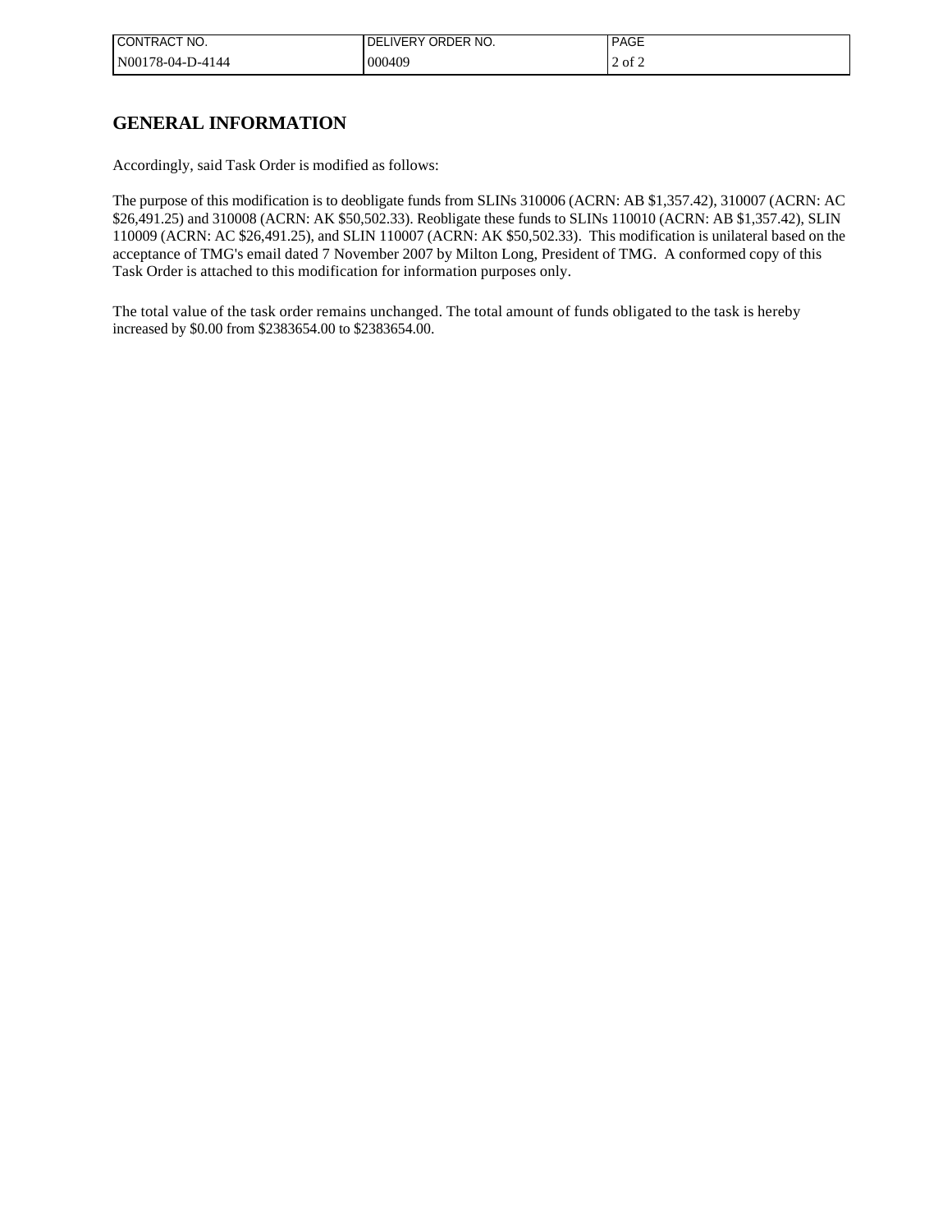| CONTRACT NO.     | 'IVERY ORDER NO.<br>DEI | <b>PAGE</b> |
|------------------|-------------------------|-------------|
| N00178-04-D-4144 | 000409                  | $2$ of $2$  |

## **GENERAL INFORMATION**

Accordingly, said Task Order is modified as follows:

The purpose of this modification is to deobligate funds from SLINs 310006 (ACRN: AB \$1,357.42), 310007 (ACRN: AC \$26,491.25) and 310008 (ACRN: AK \$50,502.33). Reobligate these funds to SLINs 110010 (ACRN: AB \$1,357.42), SLIN 110009 (ACRN: AC \$26,491.25), and SLIN 110007 (ACRN: AK \$50,502.33). This modification is unilateral based on the acceptance of TMG's email dated 7 November 2007 by Milton Long, President of TMG. A conformed copy of this Task Order is attached to this modification for information purposes only.

The total value of the task order remains unchanged. The total amount of funds obligated to the task is hereby increased by \$0.00 from \$2383654.00 to \$2383654.00.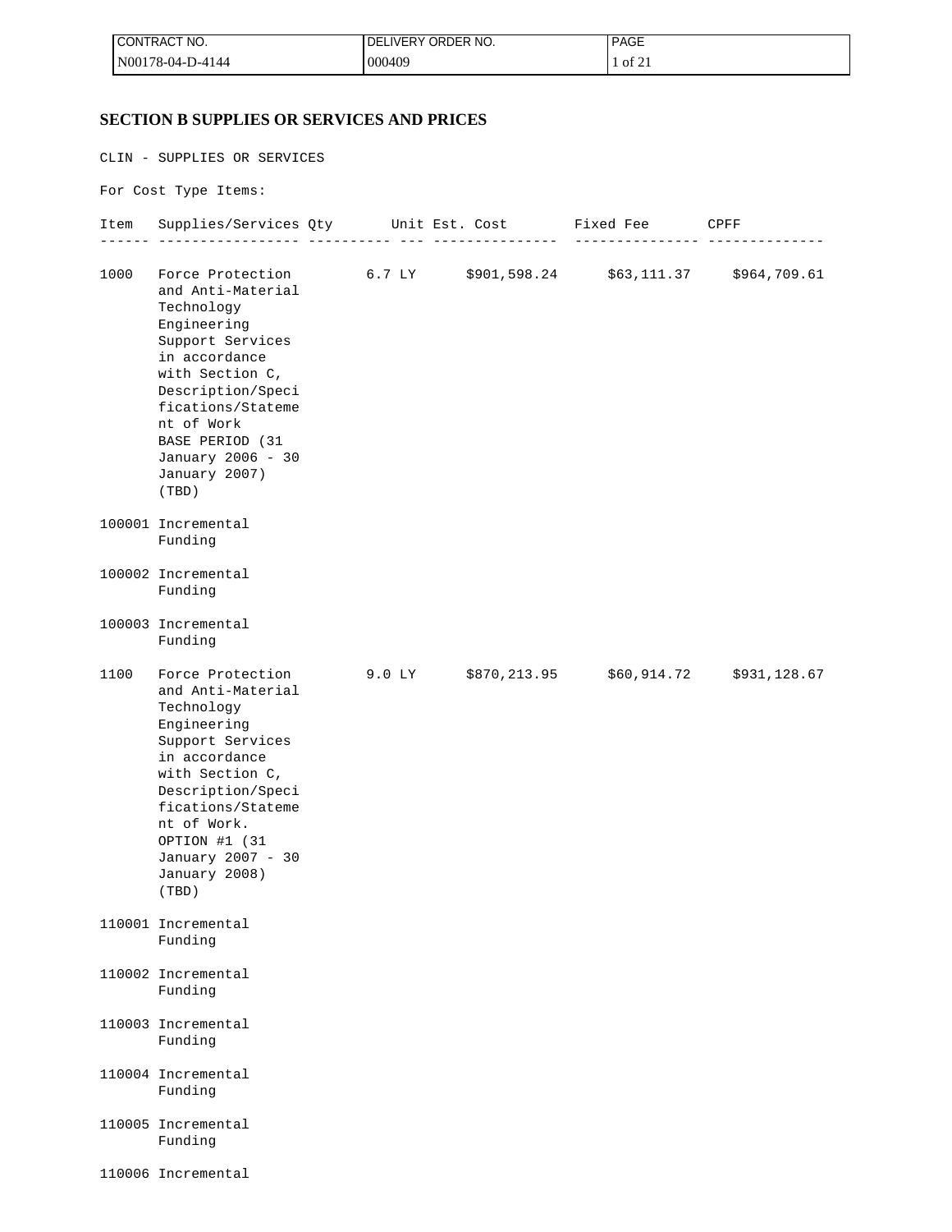| I CONTRACT NO.   | LIVERY ORDER NO.<br>DEL | <b>PAGE</b> |
|------------------|-------------------------|-------------|
| N00178-04-D-4144 | 000409                  | of 21       |

## **SECTION B SUPPLIES OR SERVICES AND PRICES**

CLIN - SUPPLIES OR SERVICES

For Cost Type Items:

|      | Item Supplies/Services Qty Unit Est. Cost Fixed Fee CPFF                                                                                                                                                                                                                                          |  |  |  |
|------|---------------------------------------------------------------------------------------------------------------------------------------------------------------------------------------------------------------------------------------------------------------------------------------------------|--|--|--|
| 1000 | Force Protection 6.7 LY \$901,598.24 \$63,111.37 \$964,709.61<br>and Anti-Material<br>Technology<br>Engineering<br>Support Services<br>in accordance<br>with Section C,<br>Description/Speci<br>fications/Stateme<br>nt of Work<br>BASE PERIOD (31<br>January 2006 - 30<br>January 2007)<br>(TBD) |  |  |  |
|      | 100001 Incremental<br>Funding                                                                                                                                                                                                                                                                     |  |  |  |
|      | 100002 Incremental<br>Funding                                                                                                                                                                                                                                                                     |  |  |  |
|      | 100003 Incremental<br>Funding                                                                                                                                                                                                                                                                     |  |  |  |
| 1100 | Force Protection 9.0 LY \$870,213.95 \$60,914.72 \$931,128.67<br>and Anti-Material<br>Technology<br>Engineering<br>Support Services<br>in accordance<br>with Section C,<br>Description/Speci<br>fications/Stateme<br>nt of Work.<br>OPTION #1 (31<br>January 2007 - 30<br>January 2008)<br>(TBD)  |  |  |  |
|      | 110001 Incremental<br>Funding                                                                                                                                                                                                                                                                     |  |  |  |
|      | 110002 Incremental<br>Funding                                                                                                                                                                                                                                                                     |  |  |  |
|      | 110003 Incremental<br>Funding                                                                                                                                                                                                                                                                     |  |  |  |
|      | 110004 Incremental<br>Funding                                                                                                                                                                                                                                                                     |  |  |  |
|      | 110005 Incremental<br>Funding                                                                                                                                                                                                                                                                     |  |  |  |
|      | 110006 Incremental                                                                                                                                                                                                                                                                                |  |  |  |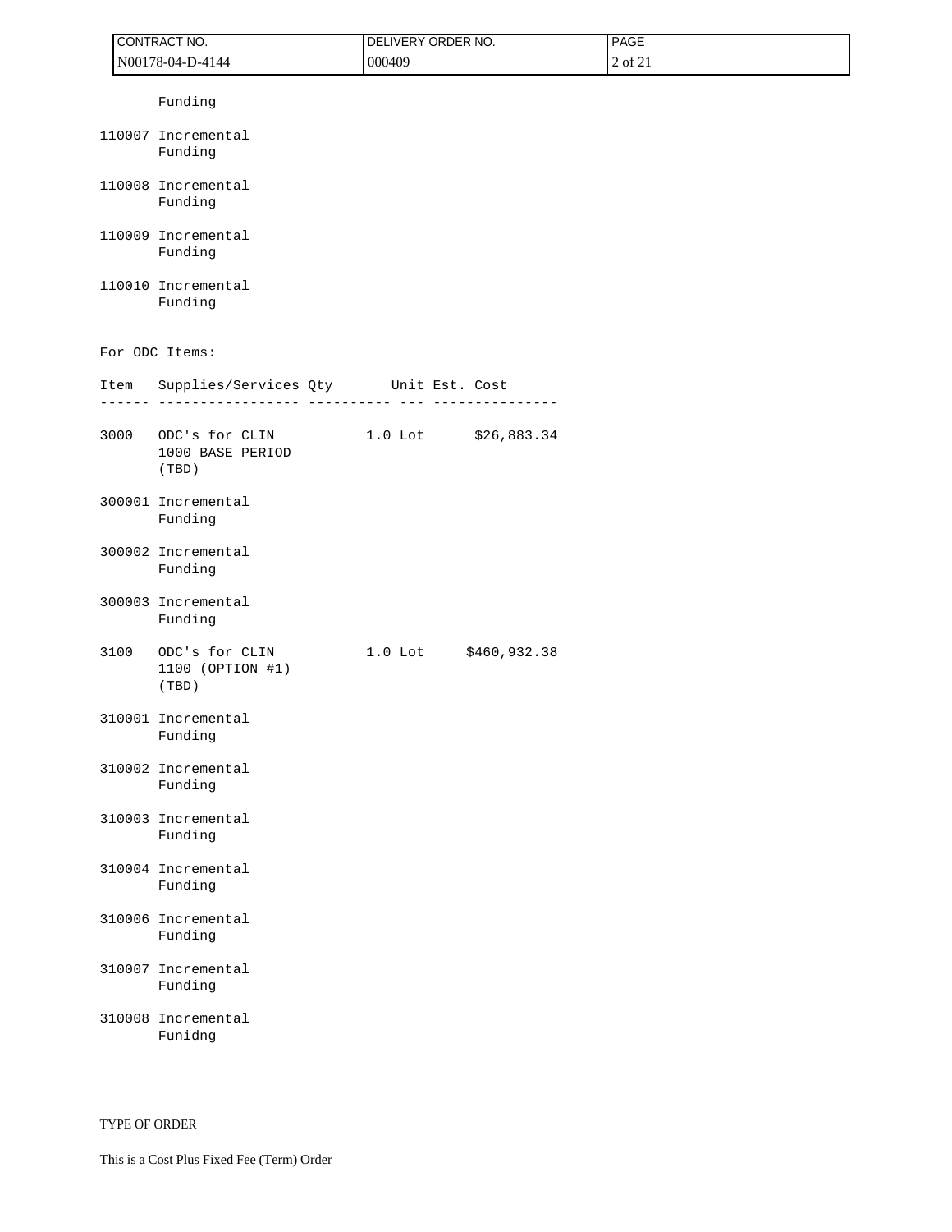|      | CONTRACT NO.                                | DELIVERY ORDER NO. |                      | PAGE    |  |  |
|------|---------------------------------------------|--------------------|----------------------|---------|--|--|
|      | N00178-04-D-4144                            | 000409             |                      | 2 of 21 |  |  |
|      | Funding                                     |                    |                      |         |  |  |
|      | 110007 Incremental<br>Funding               |                    |                      |         |  |  |
|      | 110008 Incremental<br>Funding               |                    |                      |         |  |  |
|      | 110009 Incremental<br>Funding               |                    |                      |         |  |  |
|      | 110010 Incremental<br>Funding               |                    |                      |         |  |  |
|      | For ODC Items:                              |                    |                      |         |  |  |
| Item | Supplies/Services Qty Unit Est. Cost        |                    |                      |         |  |  |
| 3000 | ODC's for CLIN<br>1000 BASE PERIOD<br>(TBD) |                    | 1.0 Lot \$26,883.34  |         |  |  |
|      | 300001 Incremental<br>Funding               |                    |                      |         |  |  |
|      | 300002 Incremental<br>Funding               |                    |                      |         |  |  |
|      | 300003 Incremental<br>Funding               |                    |                      |         |  |  |
| 3100 | ODC's for CLIN<br>1100 (OPTION #1)<br>(TBD) |                    | 1.0 Lot \$460,932.38 |         |  |  |
|      | 310001 Incremental<br>Funding               |                    |                      |         |  |  |
|      | 310002 Incremental<br>Funding               |                    |                      |         |  |  |
|      | 310003 Incremental<br>Funding               |                    |                      |         |  |  |
|      | 310004 Incremental<br>Funding               |                    |                      |         |  |  |
|      | 310006 Incremental<br>Funding               |                    |                      |         |  |  |
|      | 310007 Incremental<br>Funding               |                    |                      |         |  |  |
|      | 310008 Incremental<br>Funidng               |                    |                      |         |  |  |

TYPE OF ORDER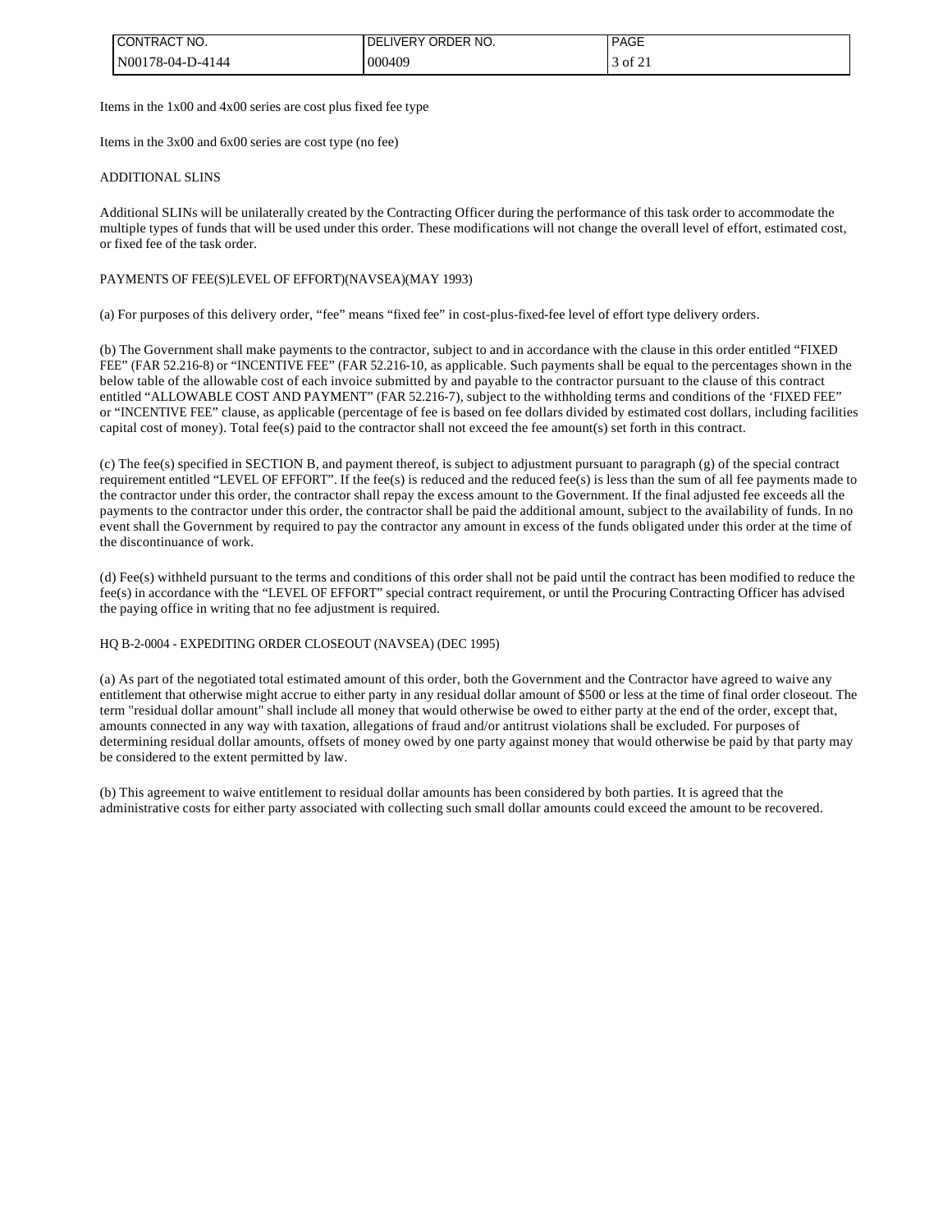| <b>I CONTRACT NO.</b> | ∟IVERY ORDER NO.<br>DEI | <b>PAGE</b> |
|-----------------------|-------------------------|-------------|
| N00178-04-D-4144      | 000409                  | $3$ of $21$ |

Items in the 1x00 and 4x00 series are cost plus fixed fee type

Items in the 3x00 and 6x00 series are cost type (no fee)

#### ADDITIONAL SLINS

Additional SLINs will be unilaterally created by the Contracting Officer during the performance of this task order to accommodate the multiple types of funds that will be used under this order. These modifications will not change the overall level of effort, estimated cost, or fixed fee of the task order.

#### PAYMENTS OF FEE(S)LEVEL OF EFFORT)(NAVSEA)(MAY 1993)

(a) For purposes of this delivery order, "fee" means "fixed fee" in cost-plus-fixed-fee level of effort type delivery orders.

(b) The Government shall make payments to the contractor, subject to and in accordance with the clause in this order entitled "FIXED FEE" (FAR 52.216-8) or "INCENTIVE FEE" (FAR 52.216-10, as applicable. Such payments shall be equal to the percentages shown in the below table of the allowable cost of each invoice submitted by and payable to the contractor pursuant to the clause of this contract entitled "ALLOWABLE COST AND PAYMENT" (FAR 52.216-7), subject to the withholding terms and conditions of the 'FIXED FEE" or "INCENTIVE FEE" clause, as applicable (percentage of fee is based on fee dollars divided by estimated cost dollars, including facilities capital cost of money). Total fee(s) paid to the contractor shall not exceed the fee amount(s) set forth in this contract.

(c) The fee(s) specified in SECTION B, and payment thereof, is subject to adjustment pursuant to paragraph (g) of the special contract requirement entitled "LEVEL OF EFFORT". If the fee(s) is reduced and the reduced fee(s) is less than the sum of all fee payments made to the contractor under this order, the contractor shall repay the excess amount to the Government. If the final adjusted fee exceeds all the payments to the contractor under this order, the contractor shall be paid the additional amount, subject to the availability of funds. In no event shall the Government by required to pay the contractor any amount in excess of the funds obligated under this order at the time of the discontinuance of work.

(d) Fee(s) withheld pursuant to the terms and conditions of this order shall not be paid until the contract has been modified to reduce the fee(s) in accordance with the "LEVEL OF EFFORT" special contract requirement, or until the Procuring Contracting Officer has advised the paying office in writing that no fee adjustment is required.

#### HQ B-2-0004 - EXPEDITING ORDER CLOSEOUT (NAVSEA) (DEC 1995)

(a) As part of the negotiated total estimated amount of this order, both the Government and the Contractor have agreed to waive any entitlement that otherwise might accrue to either party in any residual dollar amount of \$500 or less at the time of final order closeout. The term "residual dollar amount" shall include all money that would otherwise be owed to either party at the end of the order, except that, amounts connected in any way with taxation, allegations of fraud and/or antitrust violations shall be excluded. For purposes of determining residual dollar amounts, offsets of money owed by one party against money that would otherwise be paid by that party may be considered to the extent permitted by law.

(b) This agreement to waive entitlement to residual dollar amounts has been considered by both parties. It is agreed that the administrative costs for either party associated with collecting such small dollar amounts could exceed the amount to be recovered.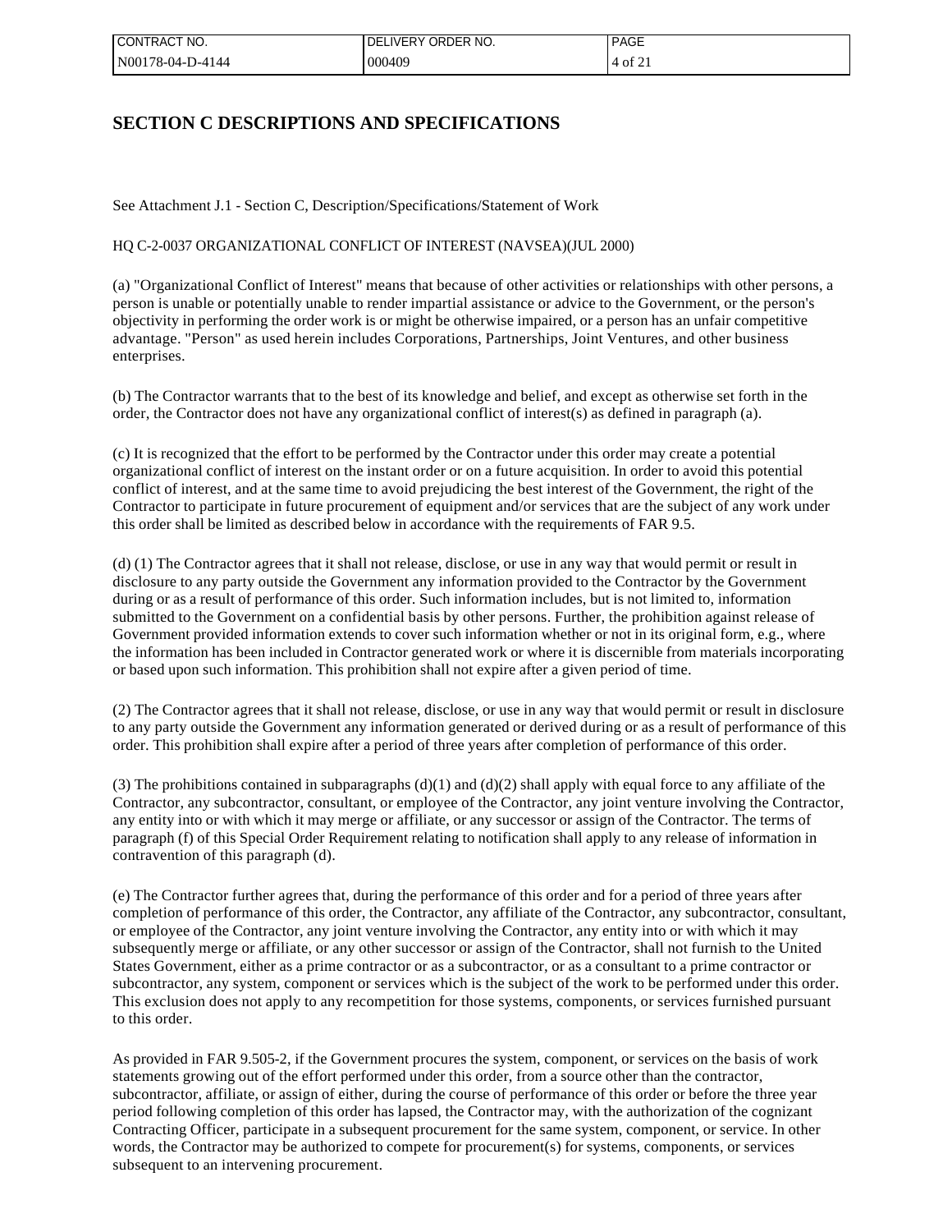| 'CONTRACT NO.    | LIVERY ORDER NO.<br>DEI | <b>PAGE</b> |
|------------------|-------------------------|-------------|
| N00178-04-D-4144 | 000409                  | $14$ of 21  |

## **SECTION C DESCRIPTIONS AND SPECIFICATIONS**

See Attachment J.1 - Section C, Description/Specifications/Statement of Work

HQ C-2-0037 ORGANIZATIONAL CONFLICT OF INTEREST (NAVSEA)(JUL 2000)

(a) "Organizational Conflict of Interest" means that because of other activities or relationships with other persons, a person is unable or potentially unable to render impartial assistance or advice to the Government, or the person's objectivity in performing the order work is or might be otherwise impaired, or a person has an unfair competitive advantage. "Person" as used herein includes Corporations, Partnerships, Joint Ventures, and other business enterprises.

(b) The Contractor warrants that to the best of its knowledge and belief, and except as otherwise set forth in the order, the Contractor does not have any organizational conflict of interest(s) as defined in paragraph (a).

(c) It is recognized that the effort to be performed by the Contractor under this order may create a potential organizational conflict of interest on the instant order or on a future acquisition. In order to avoid this potential conflict of interest, and at the same time to avoid prejudicing the best interest of the Government, the right of the Contractor to participate in future procurement of equipment and/or services that are the subject of any work under this order shall be limited as described below in accordance with the requirements of FAR 9.5.

(d) (1) The Contractor agrees that it shall not release, disclose, or use in any way that would permit or result in disclosure to any party outside the Government any information provided to the Contractor by the Government during or as a result of performance of this order. Such information includes, but is not limited to, information submitted to the Government on a confidential basis by other persons. Further, the prohibition against release of Government provided information extends to cover such information whether or not in its original form, e.g., where the information has been included in Contractor generated work or where it is discernible from materials incorporating or based upon such information. This prohibition shall not expire after a given period of time.

(2) The Contractor agrees that it shall not release, disclose, or use in any way that would permit or result in disclosure to any party outside the Government any information generated or derived during or as a result of performance of this order. This prohibition shall expire after a period of three years after completion of performance of this order.

(3) The prohibitions contained in subparagraphs (d)(1) and (d)(2) shall apply with equal force to any affiliate of the Contractor, any subcontractor, consultant, or employee of the Contractor, any joint venture involving the Contractor, any entity into or with which it may merge or affiliate, or any successor or assign of the Contractor. The terms of paragraph (f) of this Special Order Requirement relating to notification shall apply to any release of information in contravention of this paragraph (d).

(e) The Contractor further agrees that, during the performance of this order and for a period of three years after completion of performance of this order, the Contractor, any affiliate of the Contractor, any subcontractor, consultant, or employee of the Contractor, any joint venture involving the Contractor, any entity into or with which it may subsequently merge or affiliate, or any other successor or assign of the Contractor, shall not furnish to the United States Government, either as a prime contractor or as a subcontractor, or as a consultant to a prime contractor or subcontractor, any system, component or services which is the subject of the work to be performed under this order. This exclusion does not apply to any recompetition for those systems, components, or services furnished pursuant to this order.

As provided in FAR 9.505-2, if the Government procures the system, component, or services on the basis of work statements growing out of the effort performed under this order, from a source other than the contractor, subcontractor, affiliate, or assign of either, during the course of performance of this order or before the three year period following completion of this order has lapsed, the Contractor may, with the authorization of the cognizant Contracting Officer, participate in a subsequent procurement for the same system, component, or service. In other words, the Contractor may be authorized to compete for procurement(s) for systems, components, or services subsequent to an intervening procurement.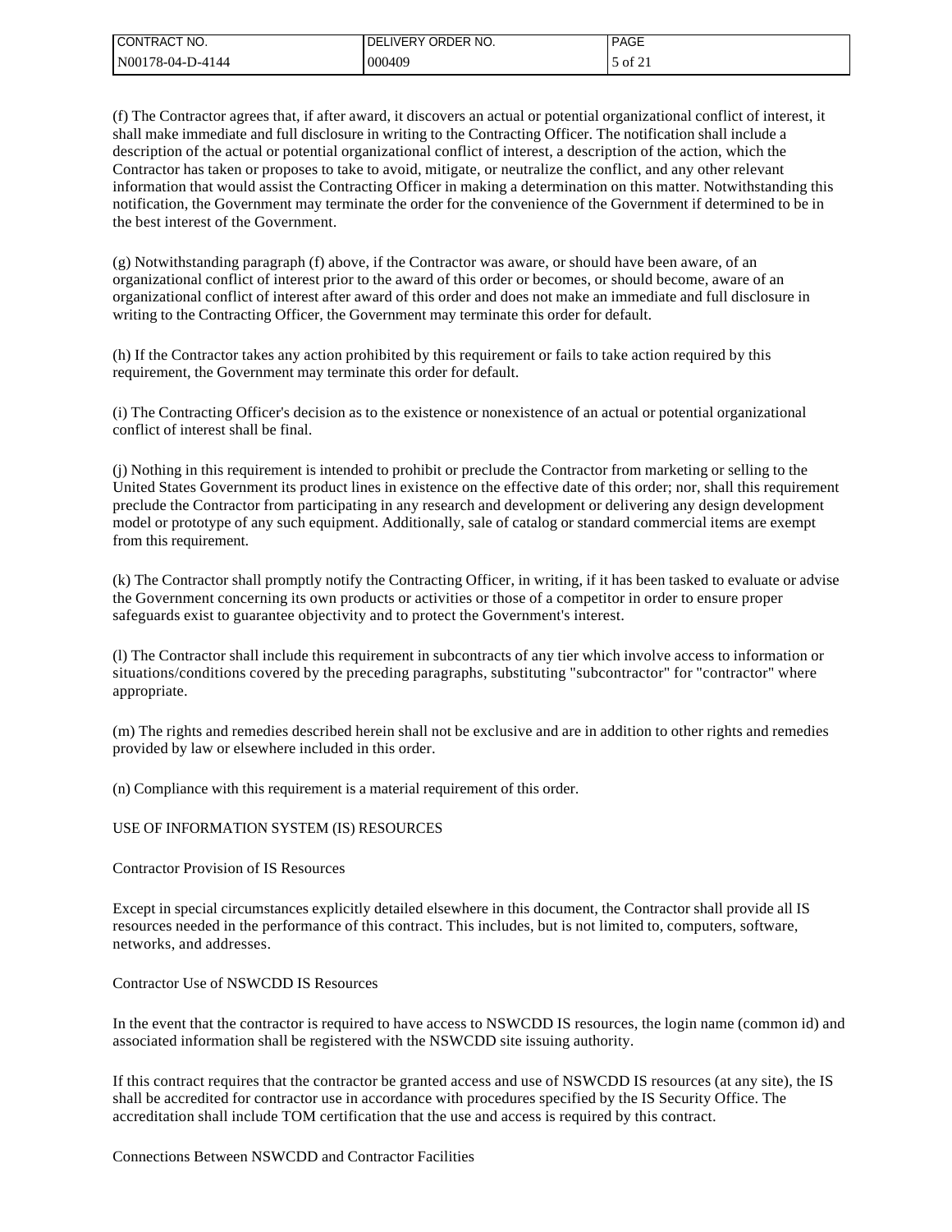| I CONTRACT NO.   | <b>IDELIVERY ORDER NO.</b> | <b>PAGE</b>   |
|------------------|----------------------------|---------------|
| N00178-04-D-4144 | 000409                     | $\cdot$ of 21 |

(f) The Contractor agrees that, if after award, it discovers an actual or potential organizational conflict of interest, it shall make immediate and full disclosure in writing to the Contracting Officer. The notification shall include a description of the actual or potential organizational conflict of interest, a description of the action, which the Contractor has taken or proposes to take to avoid, mitigate, or neutralize the conflict, and any other relevant information that would assist the Contracting Officer in making a determination on this matter. Notwithstanding this notification, the Government may terminate the order for the convenience of the Government if determined to be in the best interest of the Government.

(g) Notwithstanding paragraph (f) above, if the Contractor was aware, or should have been aware, of an organizational conflict of interest prior to the award of this order or becomes, or should become, aware of an organizational conflict of interest after award of this order and does not make an immediate and full disclosure in writing to the Contracting Officer, the Government may terminate this order for default.

(h) If the Contractor takes any action prohibited by this requirement or fails to take action required by this requirement, the Government may terminate this order for default.

(i) The Contracting Officer's decision as to the existence or nonexistence of an actual or potential organizational conflict of interest shall be final.

(j) Nothing in this requirement is intended to prohibit or preclude the Contractor from marketing or selling to the United States Government its product lines in existence on the effective date of this order; nor, shall this requirement preclude the Contractor from participating in any research and development or delivering any design development model or prototype of any such equipment. Additionally, sale of catalog or standard commercial items are exempt from this requirement.

(k) The Contractor shall promptly notify the Contracting Officer, in writing, if it has been tasked to evaluate or advise the Government concerning its own products or activities or those of a competitor in order to ensure proper safeguards exist to guarantee objectivity and to protect the Government's interest.

(l) The Contractor shall include this requirement in subcontracts of any tier which involve access to information or situations/conditions covered by the preceding paragraphs, substituting "subcontractor" for "contractor" where appropriate.

(m) The rights and remedies described herein shall not be exclusive and are in addition to other rights and remedies provided by law or elsewhere included in this order.

(n) Compliance with this requirement is a material requirement of this order.

#### USE OF INFORMATION SYSTEM (IS) RESOURCES

## Contractor Provision of IS Resources

Except in special circumstances explicitly detailed elsewhere in this document, the Contractor shall provide all IS resources needed in the performance of this contract. This includes, but is not limited to, computers, software, networks, and addresses.

### Contractor Use of NSWCDD IS Resources

In the event that the contractor is required to have access to NSWCDD IS resources, the login name (common id) and associated information shall be registered with the NSWCDD site issuing authority.

If this contract requires that the contractor be granted access and use of NSWCDD IS resources (at any site), the IS shall be accredited for contractor use in accordance with procedures specified by the IS Security Office. The accreditation shall include TOM certification that the use and access is required by this contract.

Connections Between NSWCDD and Contractor Facilities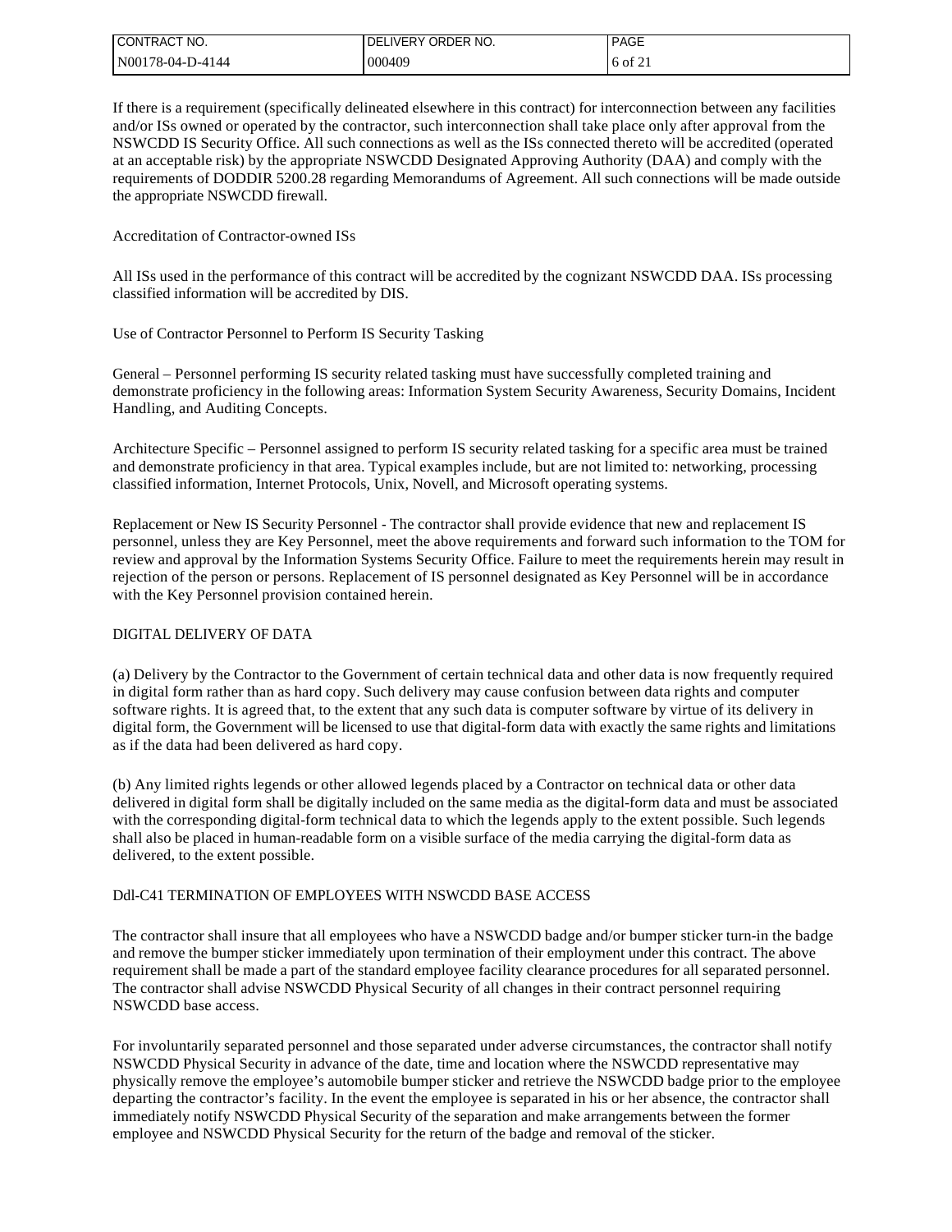| I CONTRACT NO.   | I DELIVERY ORDER NO. | <b>PAGE</b> |
|------------------|----------------------|-------------|
| N00178-04-D-4144 | 000409               | $16$ of 21  |

If there is a requirement (specifically delineated elsewhere in this contract) for interconnection between any facilities and/or ISs owned or operated by the contractor, such interconnection shall take place only after approval from the NSWCDD IS Security Office. All such connections as well as the ISs connected thereto will be accredited (operated at an acceptable risk) by the appropriate NSWCDD Designated Approving Authority (DAA) and comply with the requirements of DODDIR 5200.28 regarding Memorandums of Agreement. All such connections will be made outside the appropriate NSWCDD firewall.

Accreditation of Contractor-owned ISs

All ISs used in the performance of this contract will be accredited by the cognizant NSWCDD DAA. ISs processing classified information will be accredited by DIS.

Use of Contractor Personnel to Perform IS Security Tasking

General – Personnel performing IS security related tasking must have successfully completed training and demonstrate proficiency in the following areas: Information System Security Awareness, Security Domains, Incident Handling, and Auditing Concepts.

Architecture Specific – Personnel assigned to perform IS security related tasking for a specific area must be trained and demonstrate proficiency in that area. Typical examples include, but are not limited to: networking, processing classified information, Internet Protocols, Unix, Novell, and Microsoft operating systems.

Replacement or New IS Security Personnel - The contractor shall provide evidence that new and replacement IS personnel, unless they are Key Personnel, meet the above requirements and forward such information to the TOM for review and approval by the Information Systems Security Office. Failure to meet the requirements herein may result in rejection of the person or persons. Replacement of IS personnel designated as Key Personnel will be in accordance with the Key Personnel provision contained herein.

## DIGITAL DELIVERY OF DATA

(a) Delivery by the Contractor to the Government of certain technical data and other data is now frequently required in digital form rather than as hard copy. Such delivery may cause confusion between data rights and computer software rights. It is agreed that, to the extent that any such data is computer software by virtue of its delivery in digital form, the Government will be licensed to use that digital-form data with exactly the same rights and limitations as if the data had been delivered as hard copy.

(b) Any limited rights legends or other allowed legends placed by a Contractor on technical data or other data delivered in digital form shall be digitally included on the same media as the digital-form data and must be associated with the corresponding digital-form technical data to which the legends apply to the extent possible. Such legends shall also be placed in human-readable form on a visible surface of the media carrying the digital-form data as delivered, to the extent possible.

#### Ddl-C41 TERMINATION OF EMPLOYEES WITH NSWCDD BASE ACCESS

The contractor shall insure that all employees who have a NSWCDD badge and/or bumper sticker turn-in the badge and remove the bumper sticker immediately upon termination of their employment under this contract. The above requirement shall be made a part of the standard employee facility clearance procedures for all separated personnel. The contractor shall advise NSWCDD Physical Security of all changes in their contract personnel requiring NSWCDD base access.

For involuntarily separated personnel and those separated under adverse circumstances, the contractor shall notify NSWCDD Physical Security in advance of the date, time and location where the NSWCDD representative may physically remove the employee's automobile bumper sticker and retrieve the NSWCDD badge prior to the employee departing the contractor's facility. In the event the employee is separated in his or her absence, the contractor shall immediately notify NSWCDD Physical Security of the separation and make arrangements between the former employee and NSWCDD Physical Security for the return of the badge and removal of the sticker.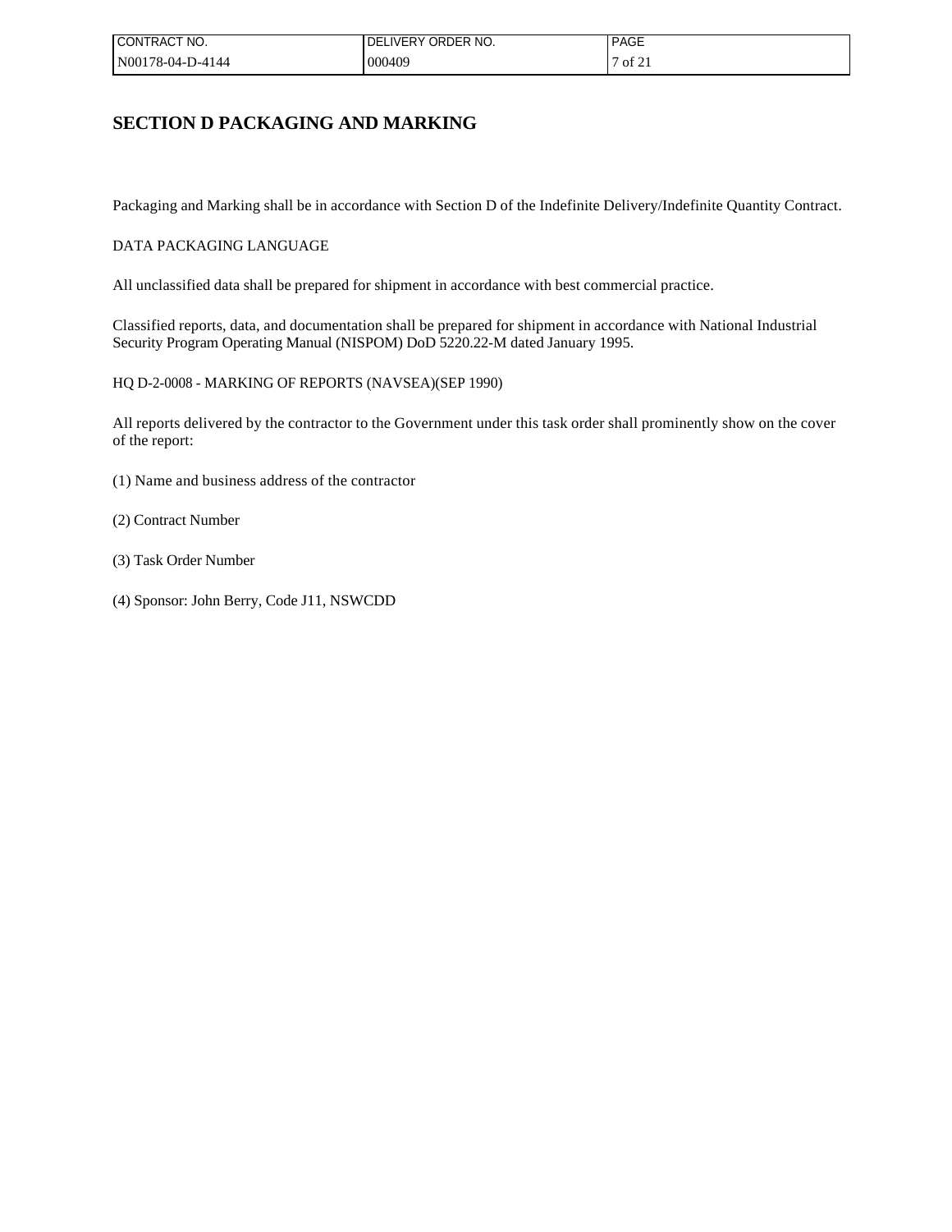| 'CONTRACT NO.    | DELIVERY ORDER NO. | <b>PAGE</b>         |
|------------------|--------------------|---------------------|
| N00178-04-D-4144 | 000409             | $\frac{1}{2}$ of 21 |

## **SECTION D PACKAGING AND MARKING**

Packaging and Marking shall be in accordance with Section D of the Indefinite Delivery/Indefinite Quantity Contract.

### DATA PACKAGING LANGUAGE

All unclassified data shall be prepared for shipment in accordance with best commercial practice.

Classified reports, data, and documentation shall be prepared for shipment in accordance with National Industrial Security Program Operating Manual (NISPOM) DoD 5220.22-M dated January 1995.

HQ D-2-0008 - MARKING OF REPORTS (NAVSEA)(SEP 1990)

All reports delivered by the contractor to the Government under this task order shall prominently show on the cover of the report:

- (1) Name and business address of the contractor
- (2) Contract Number
- (3) Task Order Number
- (4) Sponsor: John Berry, Code J11, NSWCDD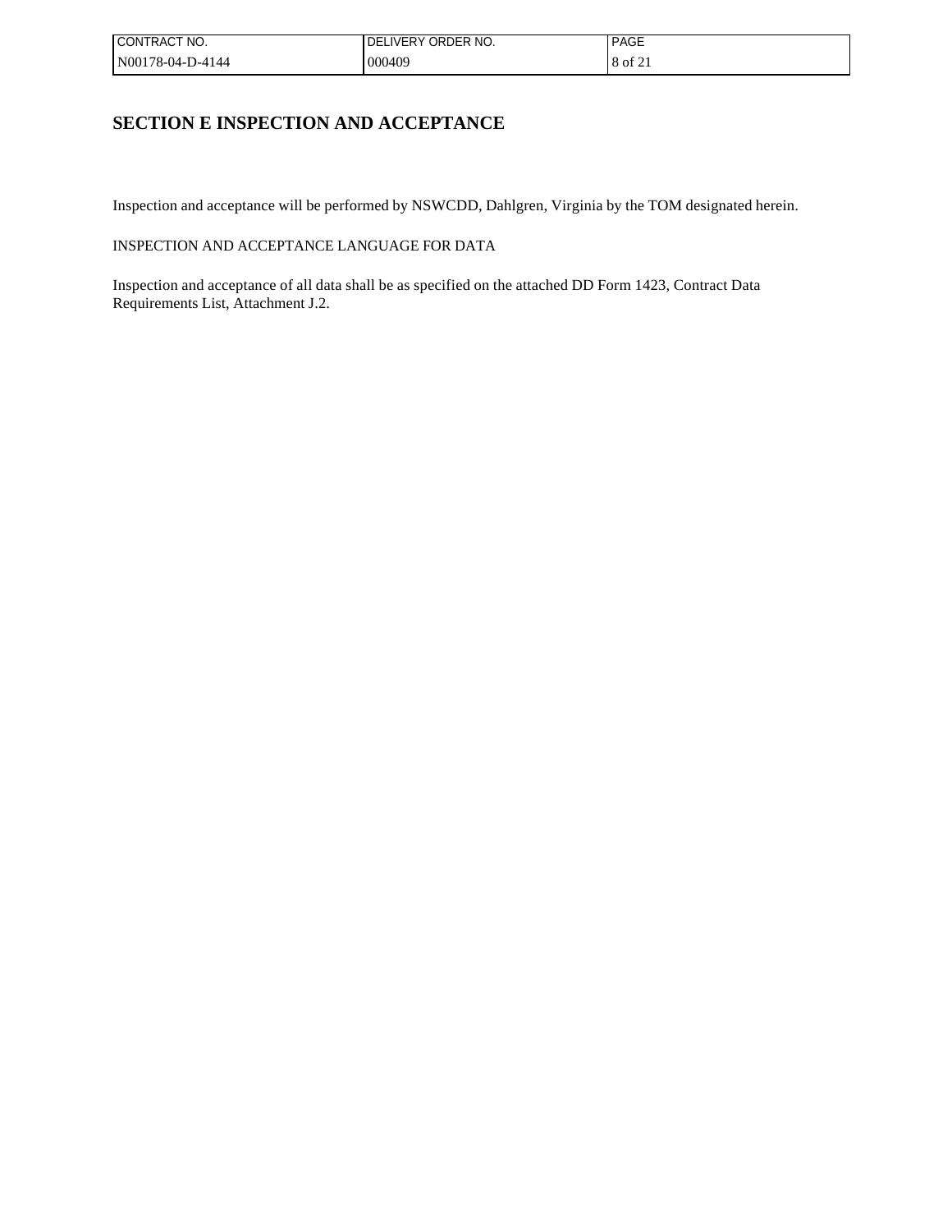| CONTRACT NO.     | LIVERY ORDER NO.<br>DFI | <b>PAGE</b> |
|------------------|-------------------------|-------------|
| N00178-04-D-4144 | 000409                  | $18$ of 21  |

# **SECTION E INSPECTION AND ACCEPTANCE**

Inspection and acceptance will be performed by NSWCDD, Dahlgren, Virginia by the TOM designated herein.

INSPECTION AND ACCEPTANCE LANGUAGE FOR DATA

Inspection and acceptance of all data shall be as specified on the attached DD Form 1423, Contract Data Requirements List, Attachment J.2.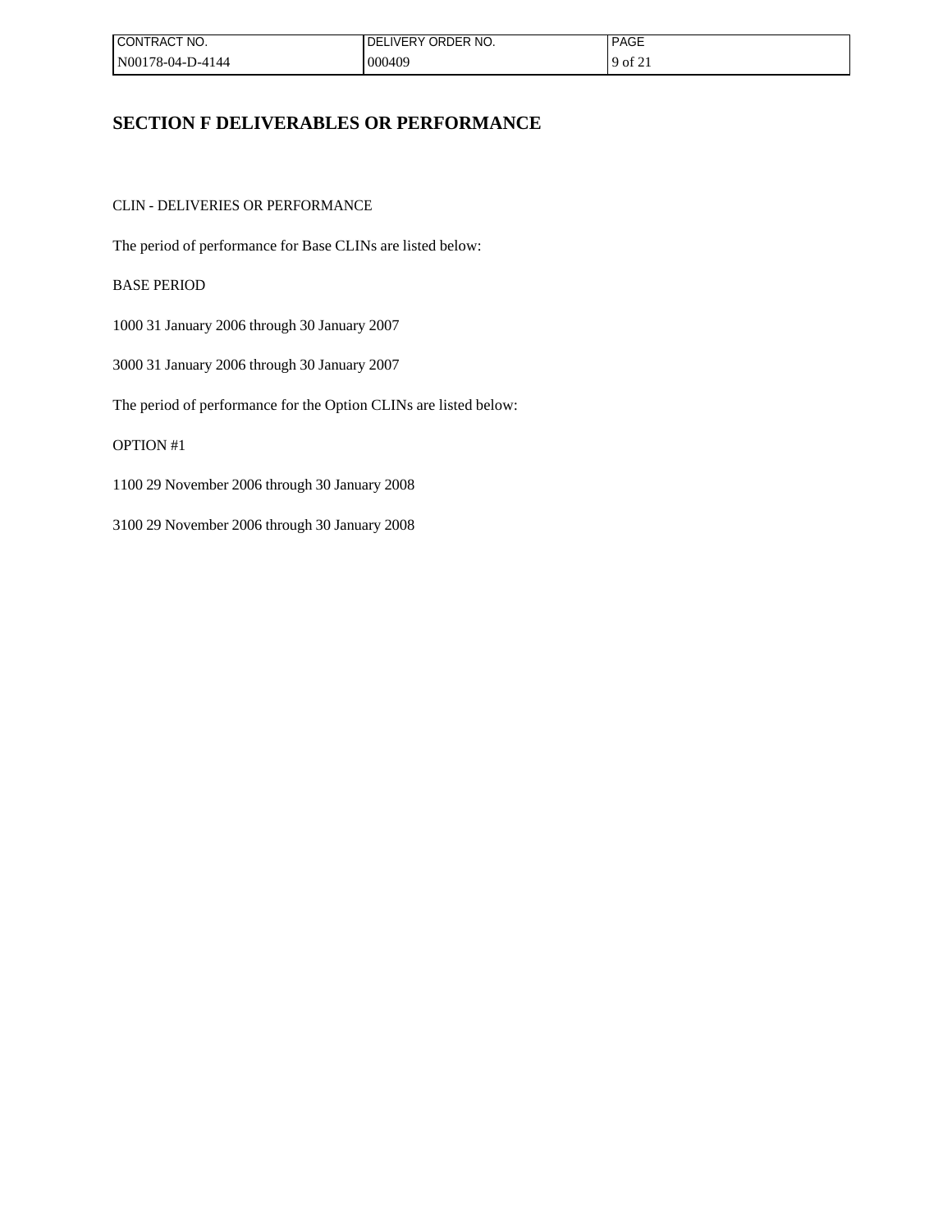| ! CONTRACT NO.   | <b>DELIVERY ORDER</b><br>NO. | <b>PAGE</b>       |
|------------------|------------------------------|-------------------|
| N00178-04-D-4144 | 000409                       | $^{1}$ of $2_{1}$ |

## **SECTION F DELIVERABLES OR PERFORMANCE**

CLIN - DELIVERIES OR PERFORMANCE

The period of performance for Base CLINs are listed below:

BASE PERIOD

1000 31 January 2006 through 30 January 2007

3000 31 January 2006 through 30 January 2007

The period of performance for the Option CLINs are listed below:

## OPTION #1

1100 29 November 2006 through 30 January 2008

3100 29 November 2006 through 30 January 2008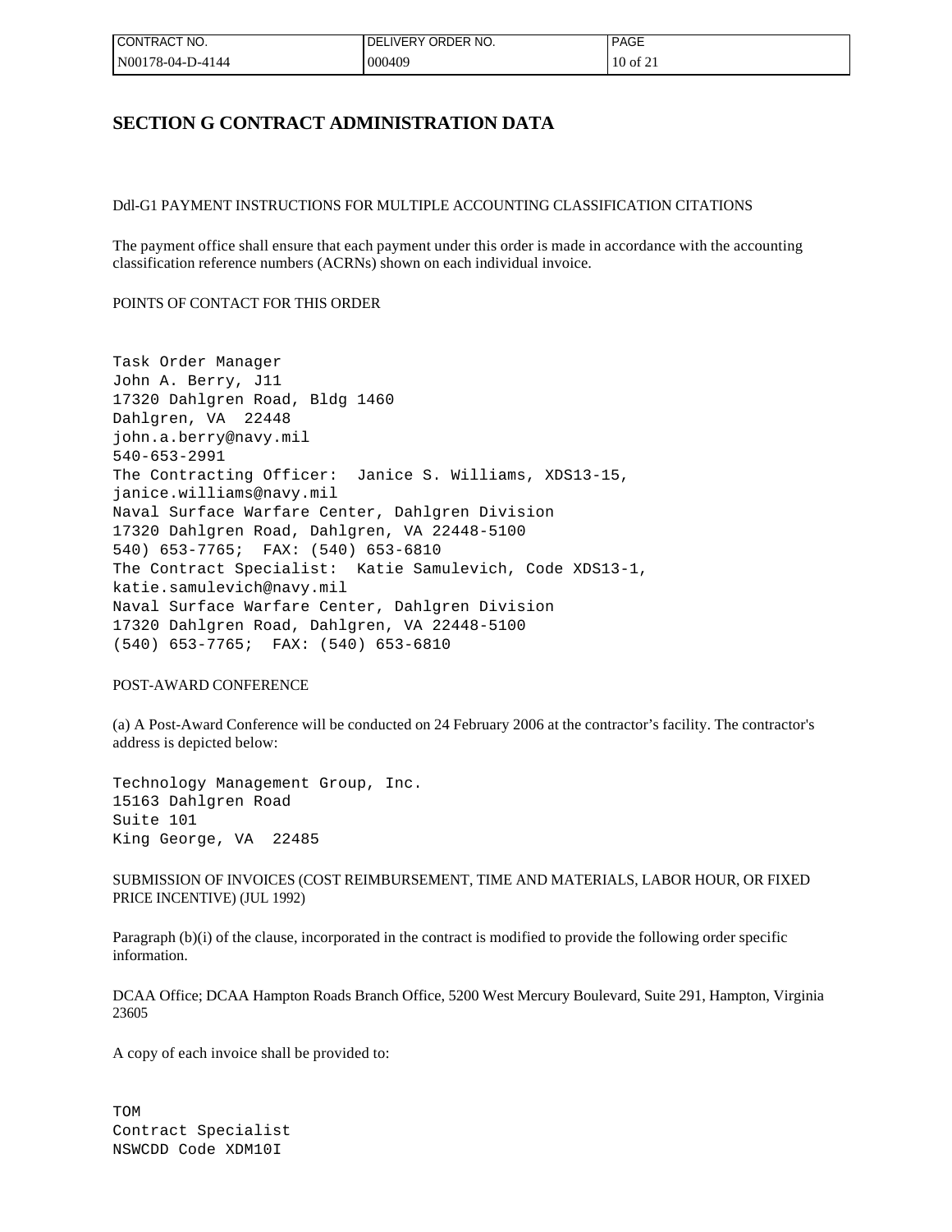| CONTRACT NO.     | I DELIVERY ORDER NO. | PAGE       |
|------------------|----------------------|------------|
| N00178-04-D-4144 | 000409               | $10$ of 21 |

## **SECTION G CONTRACT ADMINISTRATION DATA**

Ddl-G1 PAYMENT INSTRUCTIONS FOR MULTIPLE ACCOUNTING CLASSIFICATION CITATIONS

The payment office shall ensure that each payment under this order is made in accordance with the accounting classification reference numbers (ACRNs) shown on each individual invoice.

#### POINTS OF CONTACT FOR THIS ORDER

Task Order Manager John A. Berry, J11 17320 Dahlgren Road, Bldg 1460 Dahlgren, VA 22448 john.a.berry@navy.mil 540-653-2991 The Contracting Officer: Janice S. Williams, XDS13-15, janice.williams@navy.mil Naval Surface Warfare Center, Dahlgren Division 17320 Dahlgren Road, Dahlgren, VA 22448-5100 540) 653-7765; FAX: (540) 653-6810 The Contract Specialist: Katie Samulevich, Code XDS13-1, katie.samulevich@navy.mil Naval Surface Warfare Center, Dahlgren Division 17320 Dahlgren Road, Dahlgren, VA 22448-5100 (540) 653-7765; FAX: (540) 653-6810

#### POST-AWARD CONFERENCE

(a) A Post-Award Conference will be conducted on 24 February 2006 at the contractor's facility. The contractor's address is depicted below:

Technology Management Group, Inc. 15163 Dahlgren Road Suite 101 King George, VA 22485

SUBMISSION OF INVOICES (COST REIMBURSEMENT, TIME AND MATERIALS, LABOR HOUR, OR FIXED PRICE INCENTIVE) (JUL 1992)

Paragraph (b)(i) of the clause, incorporated in the contract is modified to provide the following order specific information.

DCAA Office; DCAA Hampton Roads Branch Office, 5200 West Mercury Boulevard, Suite 291, Hampton, Virginia 23605

A copy of each invoice shall be provided to:

TOM Contract Specialist NSWCDD Code XDM10I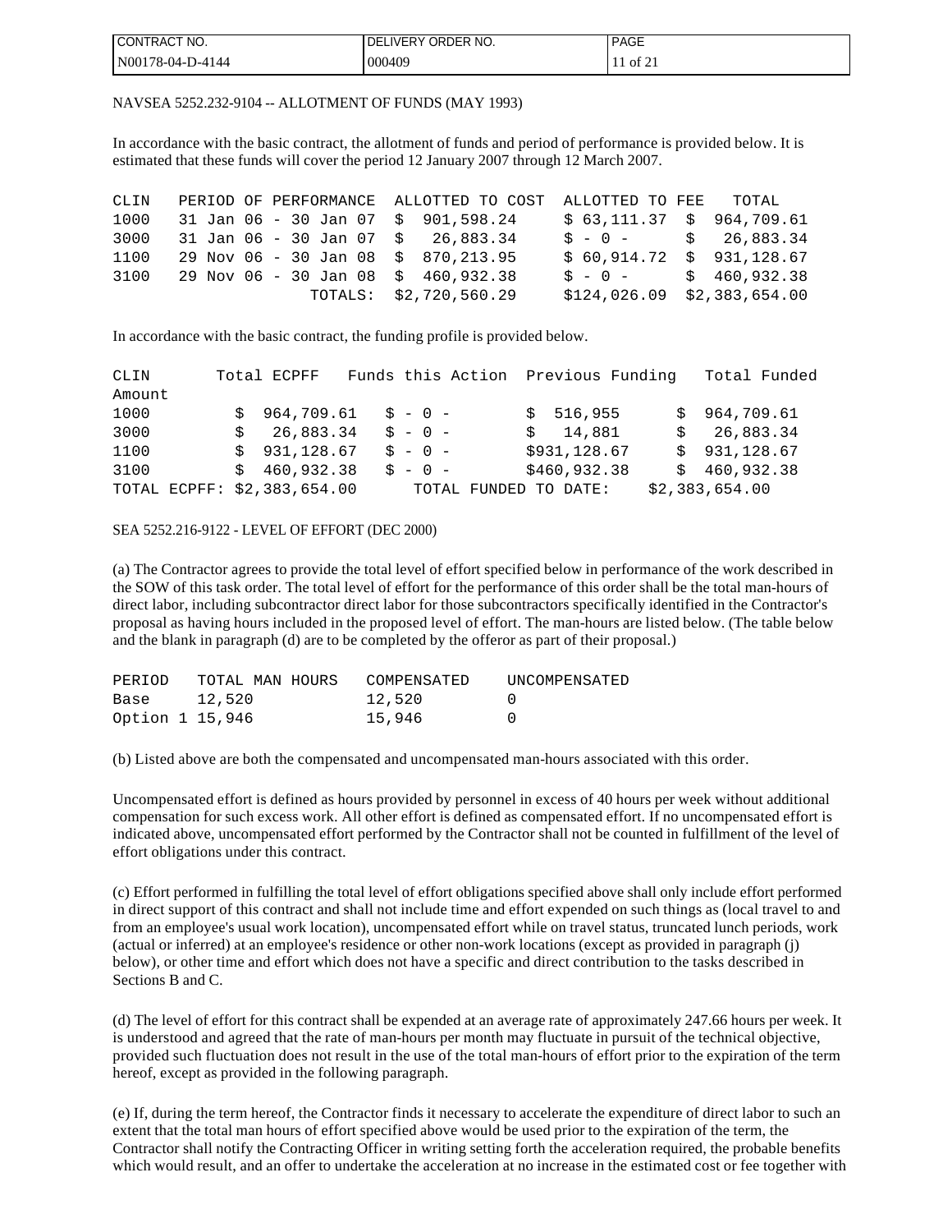| I CONTRACT NO.    | ∟IVERY ORDER NO.<br>DFI | <b>DAOF</b><br><b>IPAGE</b>            |
|-------------------|-------------------------|----------------------------------------|
| IN00178-04-D-4144 | 000409                  | $\sim$ $\sim$<br>$\cdot$ of $\angle$ . |

### NAVSEA 5252.232-9104 -- ALLOTMENT OF FUNDS (MAY 1993)

In accordance with the basic contract, the allotment of funds and period of performance is provided below. It is estimated that these funds will cover the period 12 January 2007 through 12 March 2007.

| CLIN |  | PERIOD OF PERFORMANCE ALLOTTED TO COST ALLOTTED TO FEE TOTAL |                                             |
|------|--|--------------------------------------------------------------|---------------------------------------------|
| 1000 |  | 31 Jan 06 - 30 Jan 07 \$ 901,598.24                          | $$63,111.37$ \$ 964,709.61                  |
| 3000 |  | 31 Jan 06 - 30 Jan 07 $\frac{1}{2}$ 26,883.34                | $$ - 0 - $ 26,883.34$                       |
| 1100 |  | 29 Nov 06 - 30 Jan 08 \$ 870,213.95                          | $$60,914.72 \$931,128.67$                   |
| 3100 |  | 29 Nov 06 - 30 Jan 08 \$ 460,932.38                          | $\text{S} - \text{O} - \text{S}$ 460.932.38 |
|      |  | TOTALS: \$2,720,560.29                                       | $$124,026.09$ $$2,383,654.00$               |

In accordance with the basic contract, the funding profile is provided below.

| CLIN                        | Total ECPFF           |           | Funds this Action Previous Funding | Total Funded   |
|-----------------------------|-----------------------|-----------|------------------------------------|----------------|
| Amount                      |                       |           |                                    |                |
| 1000                        | $$964,709.61$ $$-0$ - |           | \$516,955                          | \$964,709.61   |
| 3000                        | \$26,883.34           | $S - 0 -$ | \$14,881                           | \$26,883.34    |
| 1100                        | \$931,128.67          | $S - 0 -$ | \$931,128.67                       | \$931,128.67   |
| 3100                        | \$460,932.38          | $S - 0 -$ | \$460,932.38                       | \$460,932.38   |
| TOTAL ECPFF: \$2,383,654.00 |                       |           | TOTAL FUNDED TO DATE:              | \$2,383,654.00 |

#### SEA 5252.216-9122 - LEVEL OF EFFORT (DEC 2000)

(a) The Contractor agrees to provide the total level of effort specified below in performance of the work described in the SOW of this task order. The total level of effort for the performance of this order shall be the total man-hours of direct labor, including subcontractor direct labor for those subcontractors specifically identified in the Contractor's proposal as having hours included in the proposed level of effort. The man-hours are listed below. (The table below and the blank in paragraph (d) are to be completed by the offeror as part of their proposal.)

| PERIOD          | TOTAL MAN HOURS | COMPENSATED | UNCOMPENSATED    |
|-----------------|-----------------|-------------|------------------|
| Base            | 12,520          | 12,520      | $\left( \right)$ |
| Option 1 15,946 |                 | 15,946      | $\cap$           |

(b) Listed above are both the compensated and uncompensated man-hours associated with this order.

Uncompensated effort is defined as hours provided by personnel in excess of 40 hours per week without additional compensation for such excess work. All other effort is defined as compensated effort. If no uncompensated effort is indicated above, uncompensated effort performed by the Contractor shall not be counted in fulfillment of the level of effort obligations under this contract.

(c) Effort performed in fulfilling the total level of effort obligations specified above shall only include effort performed in direct support of this contract and shall not include time and effort expended on such things as (local travel to and from an employee's usual work location), uncompensated effort while on travel status, truncated lunch periods, work (actual or inferred) at an employee's residence or other non-work locations (except as provided in paragraph (j) below), or other time and effort which does not have a specific and direct contribution to the tasks described in Sections **B** and **C**.

(d) The level of effort for this contract shall be expended at an average rate of approximately 247.66 hours per week. It is understood and agreed that the rate of man-hours per month may fluctuate in pursuit of the technical objective, provided such fluctuation does not result in the use of the total man-hours of effort prior to the expiration of the term hereof, except as provided in the following paragraph.

(e) If, during the term hereof, the Contractor finds it necessary to accelerate the expenditure of direct labor to such an extent that the total man hours of effort specified above would be used prior to the expiration of the term, the Contractor shall notify the Contracting Officer in writing setting forth the acceleration required, the probable benefits which would result, and an offer to undertake the acceleration at no increase in the estimated cost or fee together with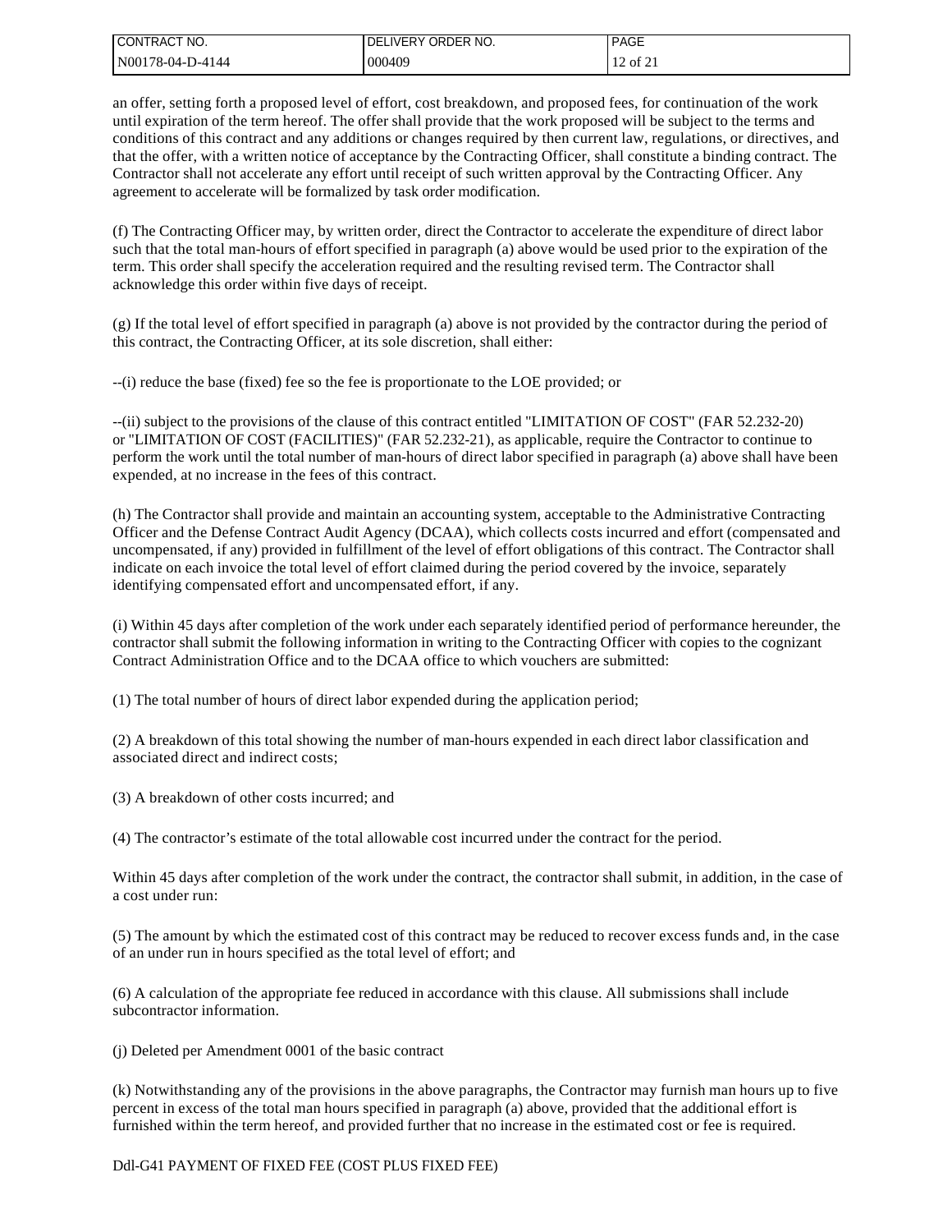| I CONTRACT NO.   | <b>DELIVERY</b><br>' order no. | <b>PAGE</b> |
|------------------|--------------------------------|-------------|
| N00178-04-D-4144 | 000409                         | 12 of 21    |

an offer, setting forth a proposed level of effort, cost breakdown, and proposed fees, for continuation of the work until expiration of the term hereof. The offer shall provide that the work proposed will be subject to the terms and conditions of this contract and any additions or changes required by then current law, regulations, or directives, and that the offer, with a written notice of acceptance by the Contracting Officer, shall constitute a binding contract. The Contractor shall not accelerate any effort until receipt of such written approval by the Contracting Officer. Any agreement to accelerate will be formalized by task order modification.

(f) The Contracting Officer may, by written order, direct the Contractor to accelerate the expenditure of direct labor such that the total man-hours of effort specified in paragraph (a) above would be used prior to the expiration of the term. This order shall specify the acceleration required and the resulting revised term. The Contractor shall acknowledge this order within five days of receipt.

(g) If the total level of effort specified in paragraph (a) above is not provided by the contractor during the period of this contract, the Contracting Officer, at its sole discretion, shall either:

--(i) reduce the base (fixed) fee so the fee is proportionate to the LOE provided; or

--(ii) subject to the provisions of the clause of this contract entitled "LIMITATION OF COST" (FAR 52.232-20) or "LIMITATION OF COST (FACILITIES)" (FAR 52.232-21), as applicable, require the Contractor to continue to perform the work until the total number of man-hours of direct labor specified in paragraph (a) above shall have been expended, at no increase in the fees of this contract.

(h) The Contractor shall provide and maintain an accounting system, acceptable to the Administrative Contracting Officer and the Defense Contract Audit Agency (DCAA), which collects costs incurred and effort (compensated and uncompensated, if any) provided in fulfillment of the level of effort obligations of this contract. The Contractor shall indicate on each invoice the total level of effort claimed during the period covered by the invoice, separately identifying compensated effort and uncompensated effort, if any.

(i) Within 45 days after completion of the work under each separately identified period of performance hereunder, the contractor shall submit the following information in writing to the Contracting Officer with copies to the cognizant Contract Administration Office and to the DCAA office to which vouchers are submitted:

(1) The total number of hours of direct labor expended during the application period;

(2) A breakdown of this total showing the number of man-hours expended in each direct labor classification and associated direct and indirect costs;

(3) A breakdown of other costs incurred; and

(4) The contractor's estimate of the total allowable cost incurred under the contract for the period.

Within 45 days after completion of the work under the contract, the contractor shall submit, in addition, in the case of a cost under run:

(5) The amount by which the estimated cost of this contract may be reduced to recover excess funds and, in the case of an under run in hours specified as the total level of effort; and

(6) A calculation of the appropriate fee reduced in accordance with this clause. All submissions shall include subcontractor information.

(j) Deleted per Amendment 0001 of the basic contract

(k) Notwithstanding any of the provisions in the above paragraphs, the Contractor may furnish man hours up to five percent in excess of the total man hours specified in paragraph (a) above, provided that the additional effort is furnished within the term hereof, and provided further that no increase in the estimated cost or fee is required.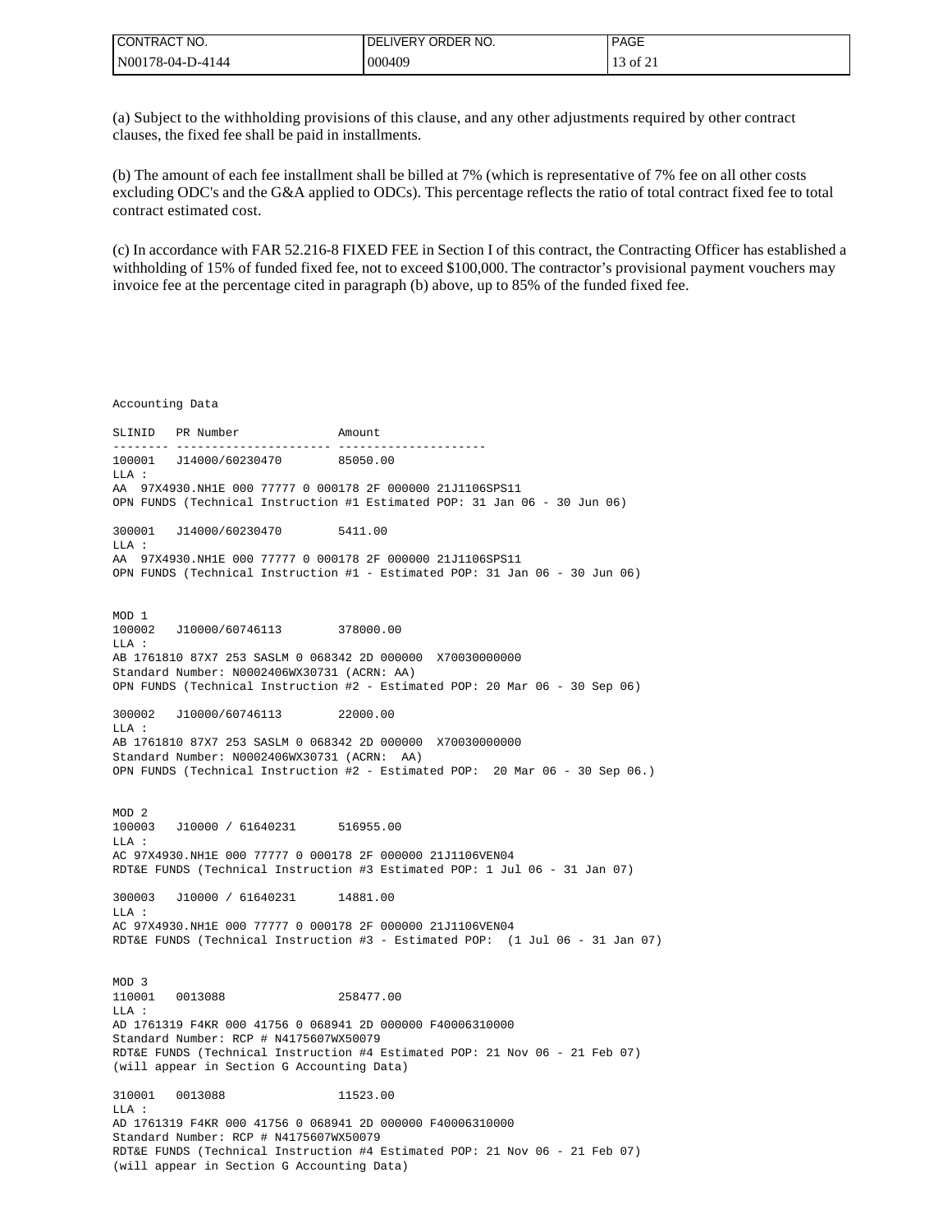| I CONTRACT NO.   | I DELIVERY ORDER NO. | <b>PAGE</b> |
|------------------|----------------------|-------------|
| N00178-04-D-4144 | 000409               | 13 of 21    |

(a) Subject to the withholding provisions of this clause, and any other adjustments required by other contract clauses, the fixed fee shall be paid in installments.

(b) The amount of each fee installment shall be billed at 7% (which is representative of 7% fee on all other costs excluding ODC's and the G&A applied to ODCs). This percentage reflects the ratio of total contract fixed fee to total contract estimated cost.

(c) In accordance with FAR 52.216-8 FIXED FEE in Section I of this contract, the Contracting Officer has established a withholding of 15% of funded fixed fee, not to exceed \$100,000. The contractor's provisional payment vouchers may invoice fee at the percentage cited in paragraph (b) above, up to 85% of the funded fixed fee.

Accounting Data SLINID PR Number Amount -------- ---------------------- --------------------- 100001 J14000/60230470 LLA : AA 97X4930.NH1E 000 77777 0 000178 2F 000000 21J1106SPS11 OPN FUNDS (Technical Instruction #1 Estimated POP: 31 Jan 06 - 30 Jun 06) 300001 J14000/60230470 5411.00 LLA : AA 97X4930.NH1E 000 77777 0 000178 2F 000000 21J1106SPS11 OPN FUNDS (Technical Instruction #1 - Estimated POP: 31 Jan 06 - 30 Jun 06) MOD 1 100002 J10000/60746113 378000.00 LLA : AB 1761810 87X7 253 SASLM 0 068342 2D 000000 X70030000000 Standard Number: N0002406WX30731 (ACRN: AA) OPN FUNDS (Technical Instruction #2 - Estimated POP: 20 Mar 06 - 30 Sep 06) 300002 J10000/60746113 22000.00  $T.T.A$  : AB 1761810 87X7 253 SASLM 0 068342 2D 000000 X70030000000 Standard Number: N0002406WX30731 (ACRN: AA) OPN FUNDS (Technical Instruction #2 - Estimated POP: 20 Mar 06 - 30 Sep 06.) MOD 2 100003 J10000 / 61640231 516955.00 LLA : AC 97X4930.NH1E 000 77777 0 000178 2F 000000 21J1106VEN04 RDT&E FUNDS (Technical Instruction #3 Estimated POP: 1 Jul 06 - 31 Jan 07) 300003 J10000 / 61640231 14881.00  $T.T.A$  : AC 97X4930.NH1E 000 77777 0 000178 2F 000000 21J1106VEN04 RDT&E FUNDS (Technical Instruction #3 - Estimated POP: (1 Jul 06 - 31 Jan 07) MOD 3 110001 0013088 258477.00 LLA : AD 1761319 F4KR 000 41756 0 068941 2D 000000 F40006310000 Standard Number: RCP # N4175607WX50079 RDT&E FUNDS (Technical Instruction #4 Estimated POP: 21 Nov 06 - 21 Feb 07) (will appear in Section G Accounting Data) 310001 0013088 11523.00  $T.T.A$  : AD 1761319 F4KR 000 41756 0 068941 2D 000000 F40006310000 Standard Number: RCP # N4175607WX50079 RDT&E FUNDS (Technical Instruction #4 Estimated POP: 21 Nov 06 - 21 Feb 07) (will appear in Section G Accounting Data)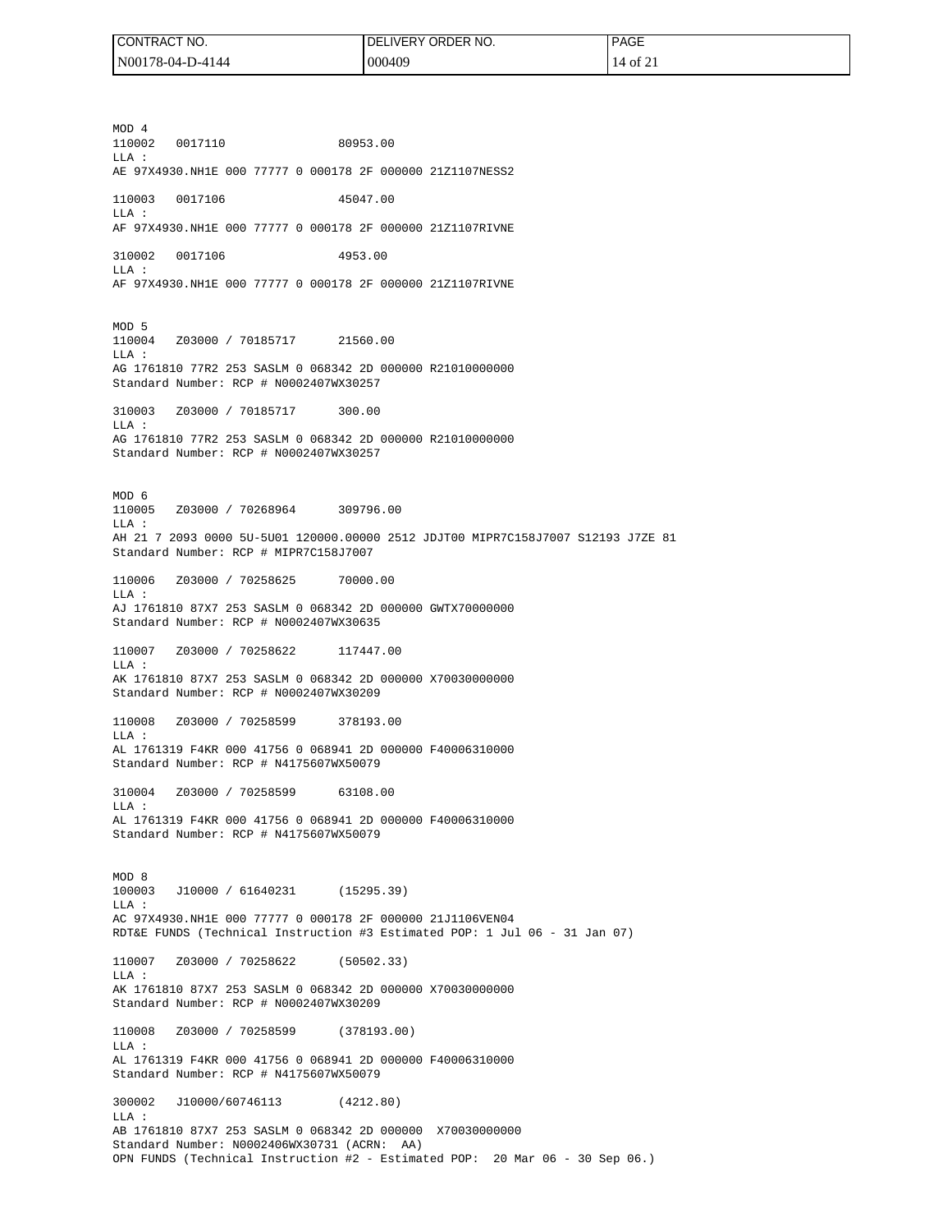| I CONTRACT NO.   | <b>DELIVERY</b><br>ORDER NO. | <b>PAGE</b>                  |
|------------------|------------------------------|------------------------------|
| N00178-04-D-4144 | 000409                       | $\mathbf{r}$<br>$40t$ $\sim$ |

MOD 4 110002 0017110 80953.00 LLA : AE 97X4930.NH1E 000 77777 0 000178 2F 000000 21Z1107NESS2 110003 0017106 45047.00 LLA : AF 97X4930.NH1E 000 77777 0 000178 2F 000000 21Z1107RIVNE 310002 0017106 4953.00 LLA : AF 97X4930.NH1E 000 77777 0 000178 2F 000000 21Z1107RIVNE MOD 5 110004 Z03000 / 70185717 21560.00 LLA : AG 1761810 77R2 253 SASLM 0 068342 2D 000000 R21010000000 Standard Number: RCP # N0002407WX30257 310003 Z03000 / 70185717 300.00  $T.T.A$  : AG 1761810 77R2 253 SASLM 0 068342 2D 000000 R21010000000 Standard Number: RCP # N0002407WX30257 MOD 6 110005 Z03000 / 70268964 309796.00  $T.T.A$  : AH 21 7 2093 0000 5U-5U01 120000.00000 2512 JDJT00 MIPR7C158J7007 S12193 J7ZE 81 Standard Number: RCP # MIPR7C158J7007 110006 Z03000 / 70258625 70000.00 LLA : AJ 1761810 87X7 253 SASLM 0 068342 2D 000000 GWTX70000000 Standard Number: RCP # N0002407WX30635 110007 Z03000 / 70258622 117447.00 LLA : AK 1761810 87X7 253 SASLM 0 068342 2D 000000 X70030000000 Standard Number: RCP # N0002407WX30209 110008 Z03000 / 70258599 378193.00 LLA : AL 1761319 F4KR 000 41756 0 068941 2D 000000 F40006310000 Standard Number: RCP # N4175607WX50079 310004 Z03000 / 70258599 63108.00 LLA : AL 1761319 F4KR 000 41756 0 068941 2D 000000 F40006310000 Standard Number: RCP # N4175607WX50079 MOD 8 100003 J10000 / 61640231 (15295.39)  $T.T.A$  : AC 97X4930.NH1E 000 77777 0 000178 2F 000000 21J1106VEN04 RDT&E FUNDS (Technical Instruction #3 Estimated POP: 1 Jul 06 - 31 Jan 07) 110007 Z03000 / 70258622 (50502.33)  $T.T.A$  : AK 1761810 87X7 253 SASLM 0 068342 2D 000000 X70030000000 Standard Number: RCP # N0002407WX30209 110008 Z03000 / 70258599 (378193.00) LLA : AL 1761319 F4KR 000 41756 0 068941 2D 000000 F40006310000 Standard Number: RCP # N4175607WX50079 300002 J10000/60746113 (4212.80) LLA : AB 1761810 87X7 253 SASLM 0 068342 2D 000000 X70030000000 Standard Number: N0002406WX30731 (ACRN: AA) OPN FUNDS (Technical Instruction #2 - Estimated POP: 20 Mar 06 - 30 Sep 06.)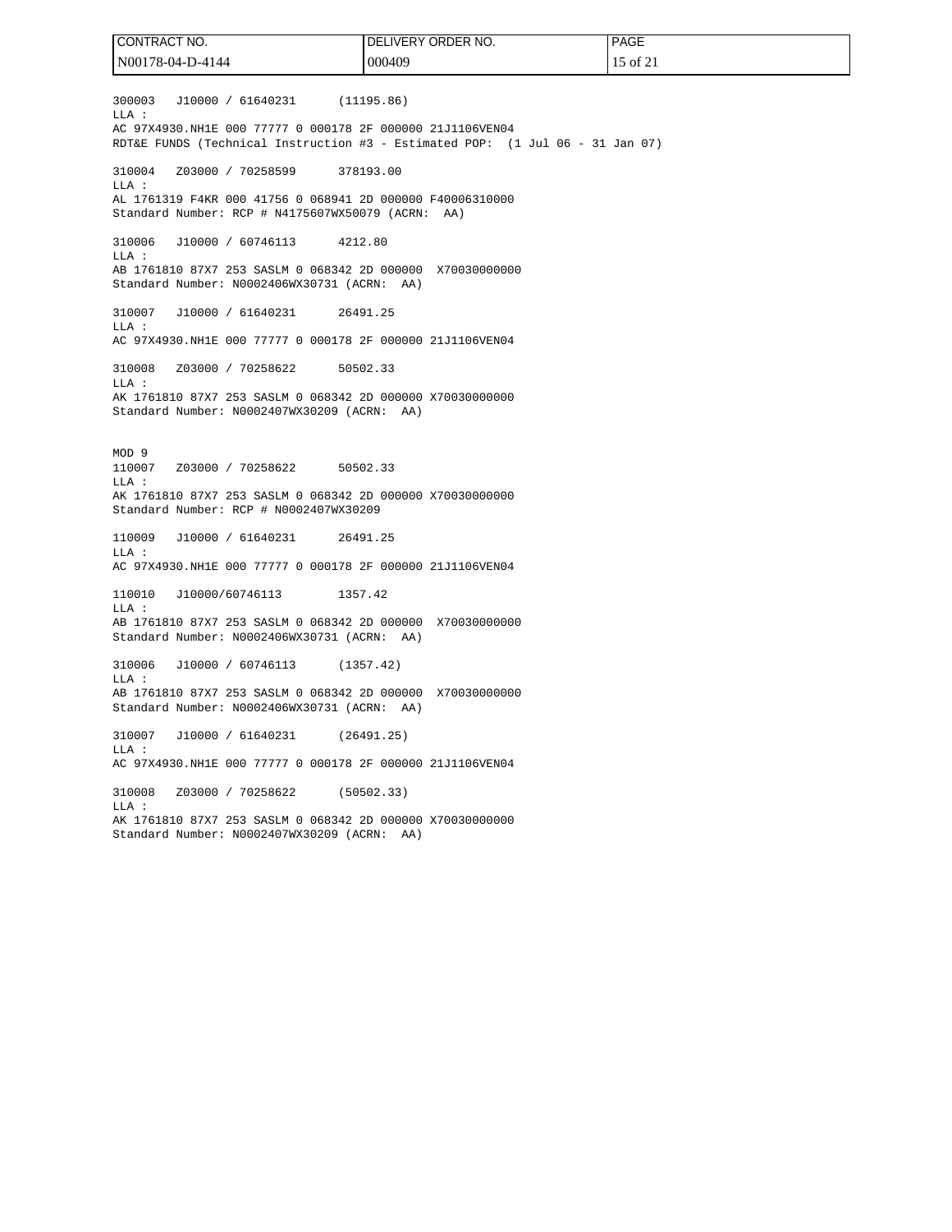300003 J10000 / 61640231 (11195.86) LLA : AC 97X4930.NH1E 000 77777 0 000178 2F 000000 21J1106VEN04 RDT&E FUNDS (Technical Instruction #3 - Estimated POP: (1 Jul 06 - 31 Jan 07) 310004 Z03000 / 70258599 378193.00 LLA : AL 1761319 F4KR 000 41756 0 068941 2D 000000 F40006310000 Standard Number: RCP # N4175607WX50079 (ACRN: AA) 310006 J10000 / 60746113 4212.80  $T.T.A$  : AB 1761810 87X7 253 SASLM 0 068342 2D 000000 X70030000000 Standard Number: N0002406WX30731 (ACRN: AA) 310007 J10000 / 61640231 26491.25  $T.T.A$  : AC 97X4930.NH1E 000 77777 0 000178 2F 000000 21J1106VEN04 310008 Z03000 / 70258622 50502.33 LLA : AK 1761810 87X7 253 SASLM 0 068342 2D 000000 X70030000000 Standard Number: N0002407WX30209 (ACRN: AA) MOD 9 110007 Z03000 / 70258622 50502.33 LLA : AK 1761810 87X7 253 SASLM 0 068342 2D 000000 X70030000000 Standard Number: RCP # N0002407WX30209 110009 J10000 / 61640231 26491.25 LLA : AC 97X4930.NH1E 000 77777 0 000178 2F 000000 21J1106VEN04 110010 J10000/60746113 1357.42 LLA : AB 1761810 87X7 253 SASLM 0 068342 2D 000000 X70030000000 Standard Number: N0002406WX30731 (ACRN: AA) 310006 J10000 / 60746113 (1357.42) LLA : AB 1761810 87X7 253 SASLM 0 068342 2D 000000 X70030000000 Standard Number: N0002406WX30731 (ACRN: AA) 310007 J10000 / 61640231 (26491.25)  $T.T.A$  : AC 97X4930.NH1E 000 77777 0 000178 2F 000000 21J1106VEN04 310008 Z03000 / 70258622 (50502.33) LLA : AK 1761810 87X7 253 SASLM 0 068342 2D 000000 X70030000000 Standard Number: N0002407WX30209 (ACRN: AA) CONTRACT NO. N00178-04-D-4144 DELIVERY ORDER NO. 000409 PAGE 15 of 21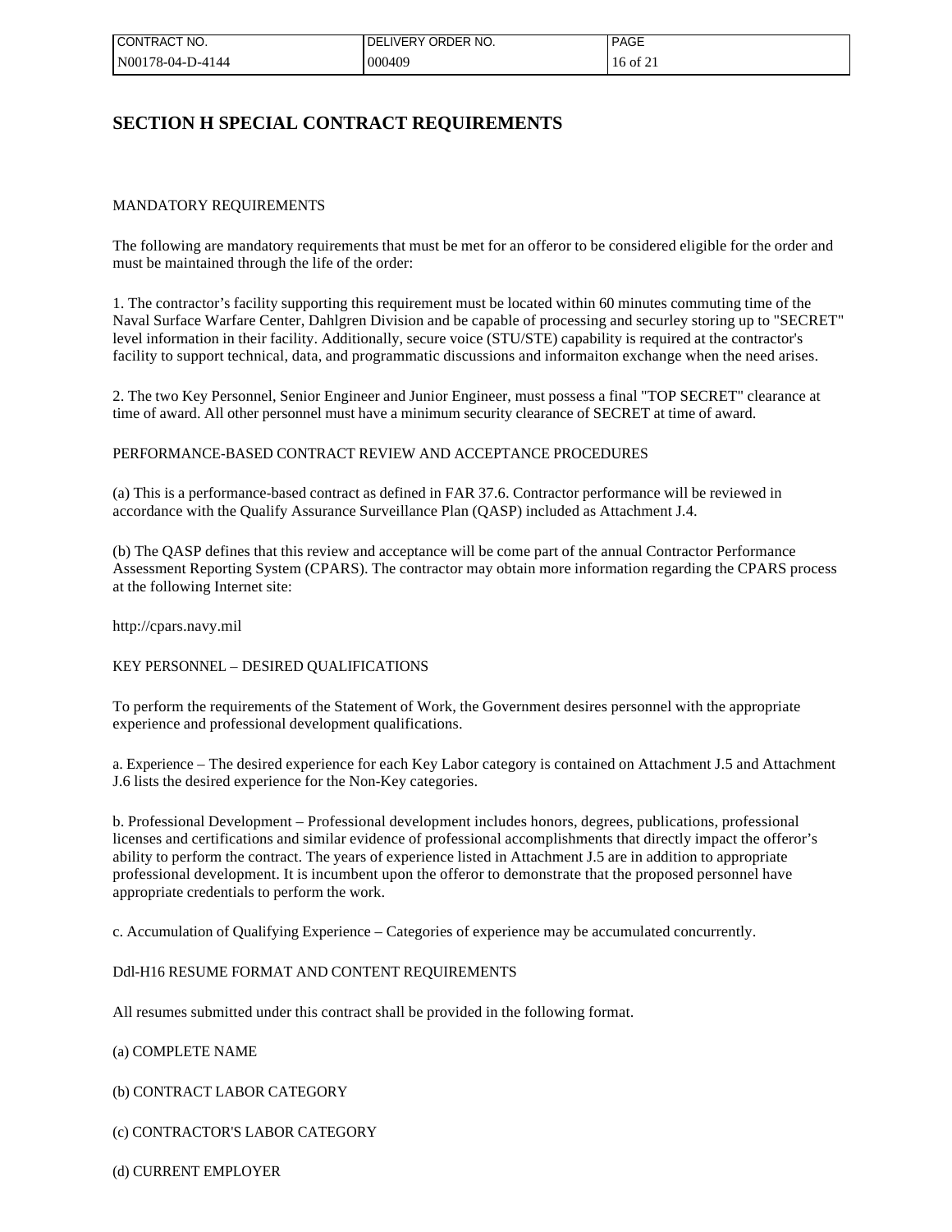| I CONTRACT NO.   | ELIVERY ORDER NO.<br>DEL | <b>PAGE</b> |
|------------------|--------------------------|-------------|
| N00178-04-D-4144 | 000409                   | 16 of 21    |

## **SECTION H SPECIAL CONTRACT REQUIREMENTS**

### MANDATORY REQUIREMENTS

The following are mandatory requirements that must be met for an offeror to be considered eligible for the order and must be maintained through the life of the order:

1. The contractor's facility supporting this requirement must be located within 60 minutes commuting time of the Naval Surface Warfare Center, Dahlgren Division and be capable of processing and securley storing up to "SECRET" level information in their facility. Additionally, secure voice (STU/STE) capability is required at the contractor's facility to support technical, data, and programmatic discussions and informaiton exchange when the need arises.

2. The two Key Personnel, Senior Engineer and Junior Engineer, must possess a final "TOP SECRET" clearance at time of award. All other personnel must have a minimum security clearance of SECRET at time of award.

### PERFORMANCE-BASED CONTRACT REVIEW AND ACCEPTANCE PROCEDURES

(a) This is a performance-based contract as defined in FAR 37.6. Contractor performance will be reviewed in accordance with the Qualify Assurance Surveillance Plan (QASP) included as Attachment J.4.

(b) The QASP defines that this review and acceptance will be come part of the annual Contractor Performance Assessment Reporting System (CPARS). The contractor may obtain more information regarding the CPARS process at the following Internet site:

http://cpars.navy.mil

#### KEY PERSONNEL – DESIRED QUALIFICATIONS

To perform the requirements of the Statement of Work, the Government desires personnel with the appropriate experience and professional development qualifications.

a. Experience – The desired experience for each Key Labor category is contained on Attachment J.5 and Attachment J.6 lists the desired experience for the Non-Key categories.

b. Professional Development – Professional development includes honors, degrees, publications, professional licenses and certifications and similar evidence of professional accomplishments that directly impact the offeror's ability to perform the contract. The years of experience listed in Attachment J.5 are in addition to appropriate professional development. It is incumbent upon the offeror to demonstrate that the proposed personnel have appropriate credentials to perform the work.

c. Accumulation of Qualifying Experience – Categories of experience may be accumulated concurrently.

#### Ddl-H16 RESUME FORMAT AND CONTENT REQUIREMENTS

All resumes submitted under this contract shall be provided in the following format.

### (a) COMPLETE NAME

(b) CONTRACT LABOR CATEGORY

(c) CONTRACTOR'S LABOR CATEGORY

(d) CURRENT EMPLOYER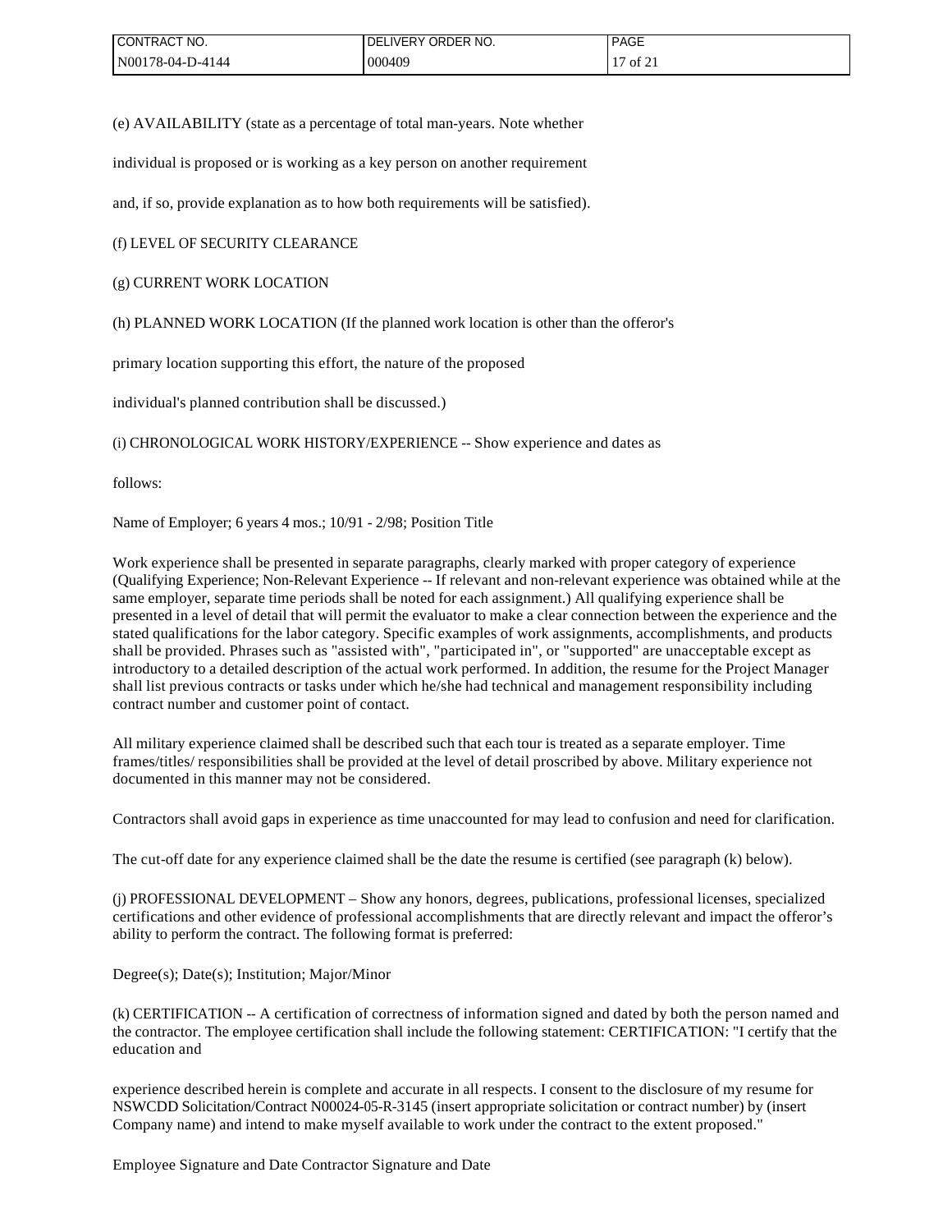| I CONTRACT NO.   | <b>IVERY</b><br>ORDER NO.<br>DE | <b>PAGE</b>                                          |
|------------------|---------------------------------|------------------------------------------------------|
| N00178-04-D-4144 | 000409                          | $\mathcal{L}$<br>╶<br>$\frac{1}{2}$ of $\frac{1}{2}$ |

(e) AVAILABILITY (state as a percentage of total man-years. Note whether

individual is proposed or is working as a key person on another requirement

and, if so, provide explanation as to how both requirements will be satisfied).

(f) LEVEL OF SECURITY CLEARANCE

(g) CURRENT WORK LOCATION

(h) PLANNED WORK LOCATION (If the planned work location is other than the offeror's

primary location supporting this effort, the nature of the proposed

individual's planned contribution shall be discussed.)

(i) CHRONOLOGICAL WORK HISTORY/EXPERIENCE -- Show experience and dates as

follows:

Name of Employer; 6 years 4 mos.; 10/91 - 2/98; Position Title

Work experience shall be presented in separate paragraphs, clearly marked with proper category of experience (Qualifying Experience; Non-Relevant Experience -- If relevant and non-relevant experience was obtained while at the same employer, separate time periods shall be noted for each assignment.) All qualifying experience shall be presented in a level of detail that will permit the evaluator to make a clear connection between the experience and the stated qualifications for the labor category. Specific examples of work assignments, accomplishments, and products shall be provided. Phrases such as "assisted with", "participated in", or "supported" are unacceptable except as introductory to a detailed description of the actual work performed. In addition, the resume for the Project Manager shall list previous contracts or tasks under which he/she had technical and management responsibility including contract number and customer point of contact.

All military experience claimed shall be described such that each tour is treated as a separate employer. Time frames/titles/ responsibilities shall be provided at the level of detail proscribed by above. Military experience not documented in this manner may not be considered.

Contractors shall avoid gaps in experience as time unaccounted for may lead to confusion and need for clarification.

The cut-off date for any experience claimed shall be the date the resume is certified (see paragraph (k) below).

(j) PROFESSIONAL DEVELOPMENT – Show any honors, degrees, publications, professional licenses, specialized certifications and other evidence of professional accomplishments that are directly relevant and impact the offeror's ability to perform the contract. The following format is preferred:

Degree(s); Date(s); Institution; Major/Minor

(k) CERTIFICATION -- A certification of correctness of information signed and dated by both the person named and the contractor. The employee certification shall include the following statement: CERTIFICATION: "I certify that the education and

experience described herein is complete and accurate in all respects. I consent to the disclosure of my resume for NSWCDD Solicitation/Contract N00024-05-R-3145 (insert appropriate solicitation or contract number) by (insert Company name) and intend to make myself available to work under the contract to the extent proposed."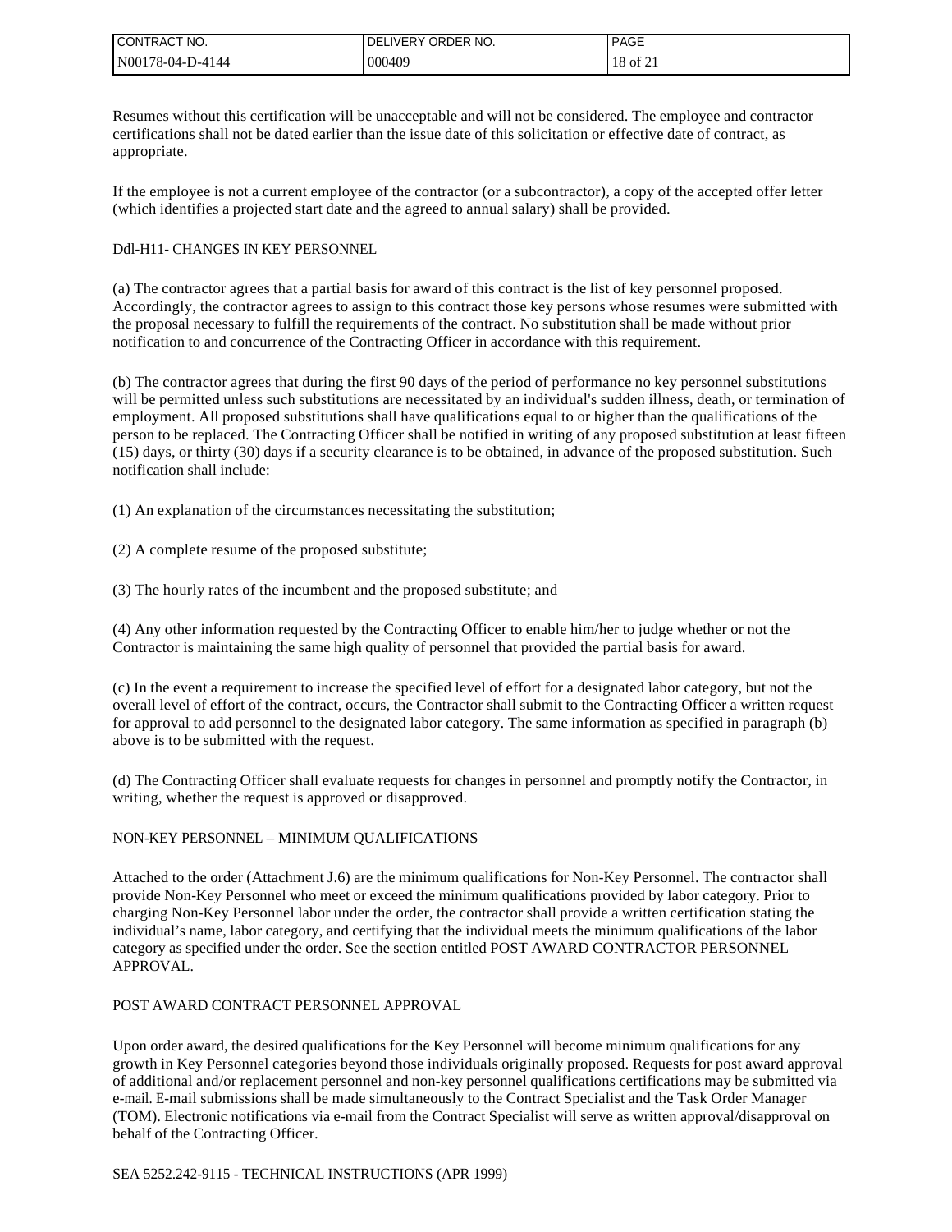| CONTRACT NO.     | <b>IDELIVERY ORDER NO.</b> | <b>PAGE</b> |
|------------------|----------------------------|-------------|
| N00178-04-D-4144 | 000409                     | 18 of 21    |

Resumes without this certification will be unacceptable and will not be considered. The employee and contractor certifications shall not be dated earlier than the issue date of this solicitation or effective date of contract, as appropriate.

If the employee is not a current employee of the contractor (or a subcontractor), a copy of the accepted offer letter (which identifies a projected start date and the agreed to annual salary) shall be provided.

### Ddl-H11- CHANGES IN KEY PERSONNEL

(a) The contractor agrees that a partial basis for award of this contract is the list of key personnel proposed. Accordingly, the contractor agrees to assign to this contract those key persons whose resumes were submitted with the proposal necessary to fulfill the requirements of the contract. No substitution shall be made without prior notification to and concurrence of the Contracting Officer in accordance with this requirement.

(b) The contractor agrees that during the first 90 days of the period of performance no key personnel substitutions will be permitted unless such substitutions are necessitated by an individual's sudden illness, death, or termination of employment. All proposed substitutions shall have qualifications equal to or higher than the qualifications of the person to be replaced. The Contracting Officer shall be notified in writing of any proposed substitution at least fifteen (15) days, or thirty (30) days if a security clearance is to be obtained, in advance of the proposed substitution. Such notification shall include:

(1) An explanation of the circumstances necessitating the substitution;

(2) A complete resume of the proposed substitute;

(3) The hourly rates of the incumbent and the proposed substitute; and

(4) Any other information requested by the Contracting Officer to enable him/her to judge whether or not the Contractor is maintaining the same high quality of personnel that provided the partial basis for award.

(c) In the event a requirement to increase the specified level of effort for a designated labor category, but not the overall level of effort of the contract, occurs, the Contractor shall submit to the Contracting Officer a written request for approval to add personnel to the designated labor category. The same information as specified in paragraph (b) above is to be submitted with the request.

(d) The Contracting Officer shall evaluate requests for changes in personnel and promptly notify the Contractor, in writing, whether the request is approved or disapproved.

## NON-KEY PERSONNEL – MINIMUM QUALIFICATIONS

Attached to the order (Attachment J.6) are the minimum qualifications for Non-Key Personnel. The contractor shall provide Non-Key Personnel who meet or exceed the minimum qualifications provided by labor category. Prior to charging Non-Key Personnel labor under the order, the contractor shall provide a written certification stating the individual's name, labor category, and certifying that the individual meets the minimum qualifications of the labor category as specified under the order. See the section entitled POST AWARD CONTRACTOR PERSONNEL APPROVAL.

#### POST AWARD CONTRACT PERSONNEL APPROVAL

Upon order award, the desired qualifications for the Key Personnel will become minimum qualifications for any growth in Key Personnel categories beyond those individuals originally proposed. Requests for post award approval of additional and/or replacement personnel and non-key personnel qualifications certifications may be submitted via e-mail. E-mail submissions shall be made simultaneously to the Contract Specialist and the Task Order Manager (TOM). Electronic notifications via e-mail from the Contract Specialist will serve as written approval/disapproval on behalf of the Contracting Officer.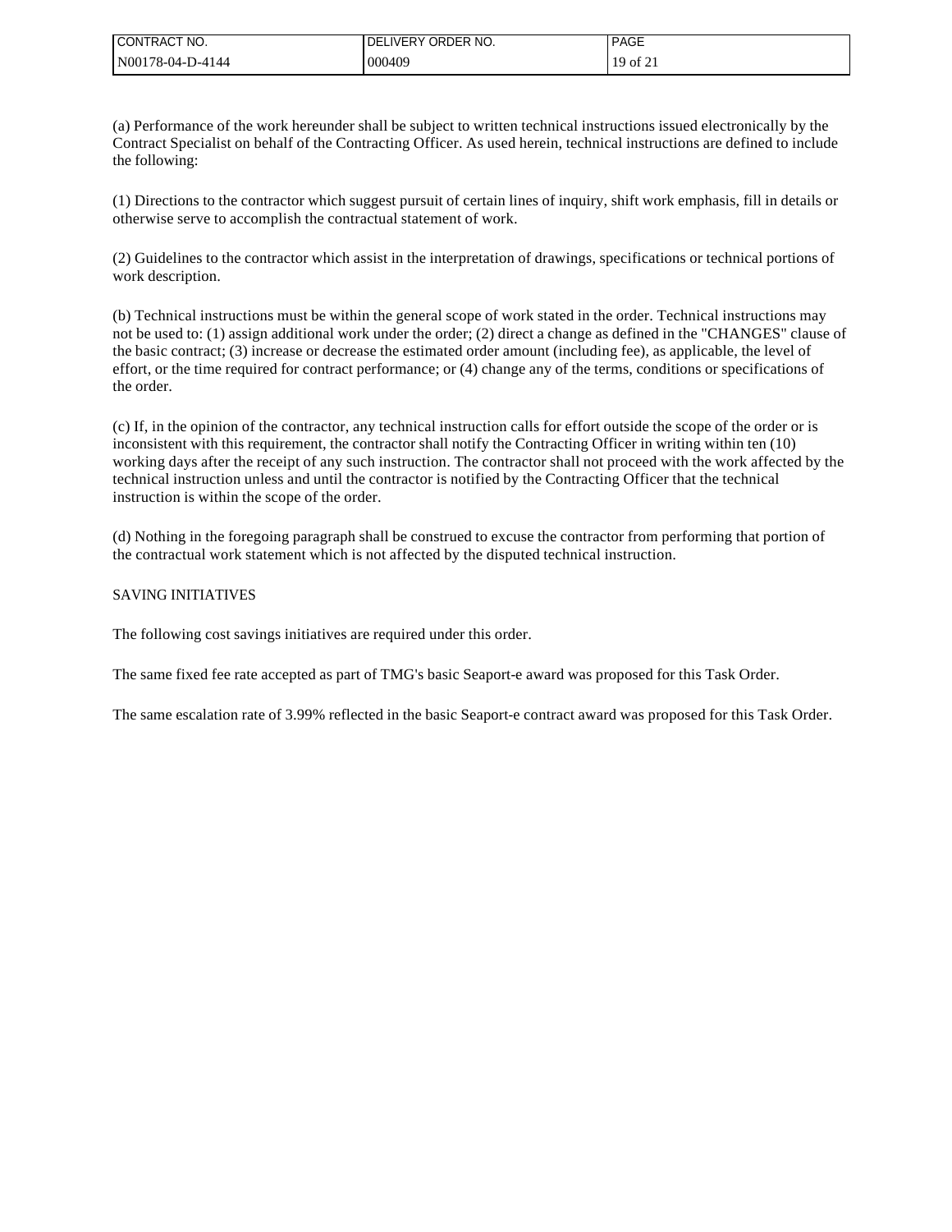| CONTRACT NO.     | DELIVERY ORDER<br>NO. | <b>PAGE</b>  |
|------------------|-----------------------|--------------|
| N00178-04-D-4144 | 000409                | $19$ of $21$ |

(a) Performance of the work hereunder shall be subject to written technical instructions issued electronically by the Contract Specialist on behalf of the Contracting Officer. As used herein, technical instructions are defined to include the following:

(1) Directions to the contractor which suggest pursuit of certain lines of inquiry, shift work emphasis, fill in details or otherwise serve to accomplish the contractual statement of work.

(2) Guidelines to the contractor which assist in the interpretation of drawings, specifications or technical portions of work description.

(b) Technical instructions must be within the general scope of work stated in the order. Technical instructions may not be used to: (1) assign additional work under the order; (2) direct a change as defined in the "CHANGES" clause of the basic contract; (3) increase or decrease the estimated order amount (including fee), as applicable, the level of effort, or the time required for contract performance; or (4) change any of the terms, conditions or specifications of the order.

(c) If, in the opinion of the contractor, any technical instruction calls for effort outside the scope of the order or is inconsistent with this requirement, the contractor shall notify the Contracting Officer in writing within ten (10) working days after the receipt of any such instruction. The contractor shall not proceed with the work affected by the technical instruction unless and until the contractor is notified by the Contracting Officer that the technical instruction is within the scope of the order.

(d) Nothing in the foregoing paragraph shall be construed to excuse the contractor from performing that portion of the contractual work statement which is not affected by the disputed technical instruction.

### SAVING INITIATIVES

The following cost savings initiatives are required under this order.

The same fixed fee rate accepted as part of TMG's basic Seaport-e award was proposed for this Task Order.

The same escalation rate of 3.99% reflected in the basic Seaport-e contract award was proposed for this Task Order.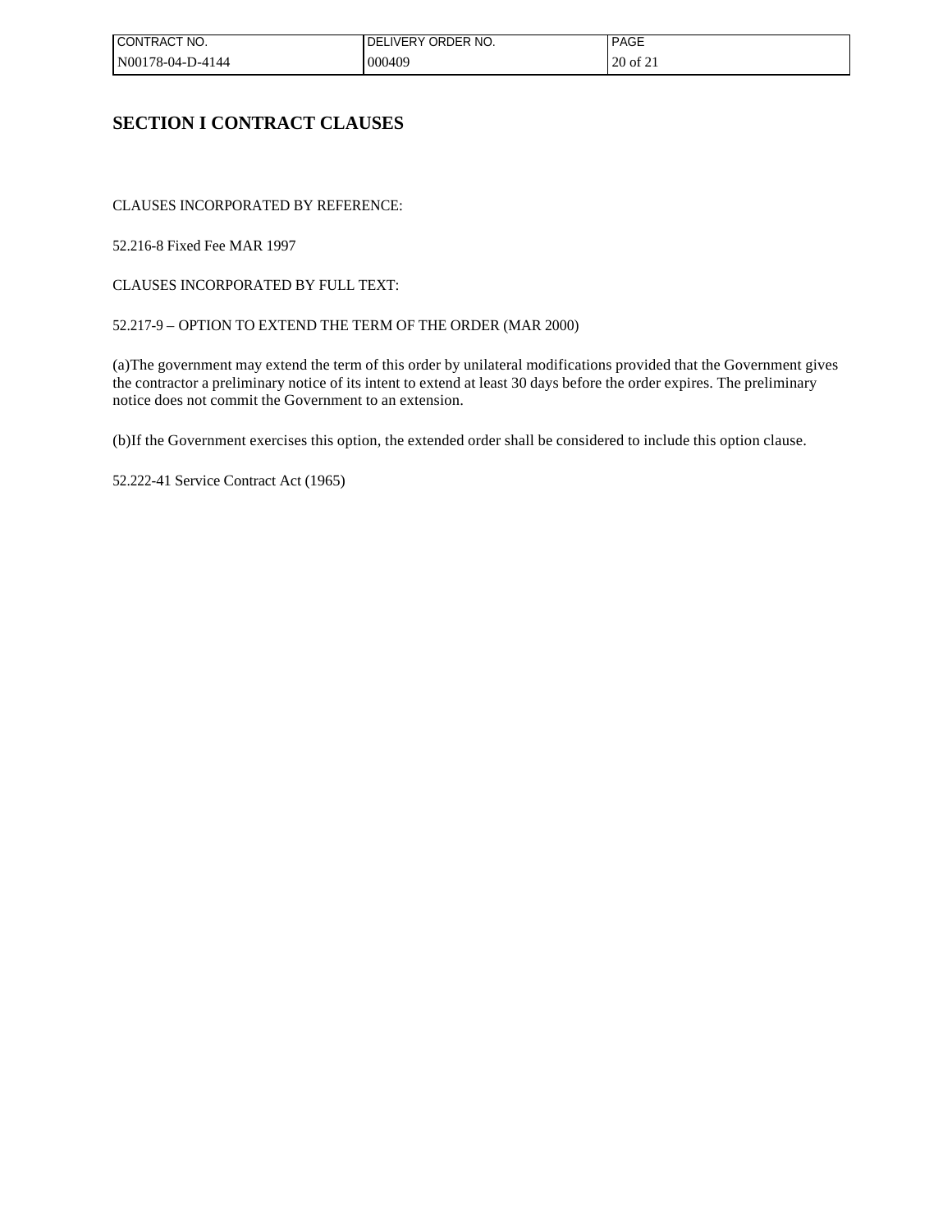| ! CONTRACT NO.   | LIVERY ORDER NO.<br>DEI | <b>PAGE</b> |
|------------------|-------------------------|-------------|
| N00178-04-D-4144 | 000409                  | 20 of 21    |

## **SECTION I CONTRACT CLAUSES**

CLAUSES INCORPORATED BY REFERENCE:

52.216-8 Fixed Fee MAR 1997

CLAUSES INCORPORATED BY FULL TEXT:

## 52.217-9 – OPTION TO EXTEND THE TERM OF THE ORDER (MAR 2000)

(a)The government may extend the term of this order by unilateral modifications provided that the Government gives the contractor a preliminary notice of its intent to extend at least 30 days before the order expires. The preliminary notice does not commit the Government to an extension.

(b)If the Government exercises this option, the extended order shall be considered to include this option clause.

52.222-41 Service Contract Act (1965)